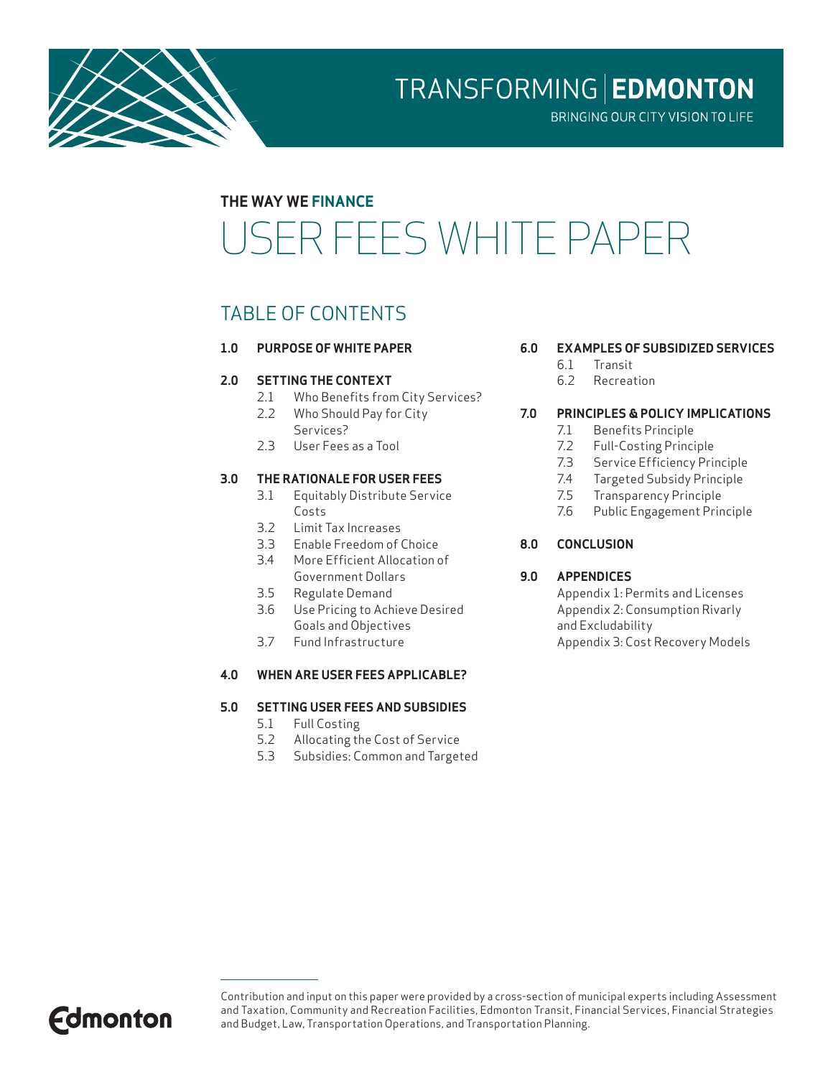

TRANSFORMING | EDMONTON

BRINGING OUR CITY VISION TO LIFE

### **THE WAY WE FINANCE**

# USER FEES WHITE PAPER

### TABLE OF CONTENTS

**1.0 PURPOSE OF WHITE PAPER**

#### **2.0 SETTING THE CONTEXT**

- 2.1 Who Benefits from City Services?
- 2.2 Who Should Pay for City Services?
- 2.3 User Fees as a Tool

#### **3.0 THE RATIONALE FOR USER FEES**

- 3.1 Equitably Distribute Service Costs
- 3.2 Limit Tax Increases
- 3.3 Enable Freedom of Choice
- 3.4 More Efficient Allocation of Government Dollars
- 3.5 Regulate Demand
- 3.6 Use Pricing to Achieve Desired Goals and Objectives
- 3.7 Fund Infrastructure

#### **4.0 WHEN ARE USER FEES APPLICABLE?**

#### **5.0 SETTING USER FEES AND SUBSIDIES**

- 5.1 Full Costing
- 5.2 Allocating the Cost of Service
- 5.3 Subsidies: Common and Targeted

#### **6.0 EXAMPLES OF SUBSIDIZED SERVICES**

- 6.1 Transit
- 6.2 Recreation

#### **7.0 PRINCIPLES & POLICY IMPLICATIONS**

- 7.1 Benefits Principle
- 7.2 Full-Costing Principle
- 7.3 Service Efficiency Principle
- 7.4 Targeted Subsidy Principle
- 7.5 Transparency Principle
- 7.6 Public Engagement Principle
- **8.0 CONCLUSION**

#### **9.0 APPENDICES**

Appendix 1: Permits and Licenses Appendix 2: Consumption Rivarly and Excludability Appendix 3: Cost Recovery Models



Contribution and input on this paper were provided by a cross-section of municipal experts including Assessment and Taxation, Community and Recreation Facilities, Edmonton Transit, Financial Services, Financial Strategies and Budget, Law, Transportation Operations, and Transportation Planning.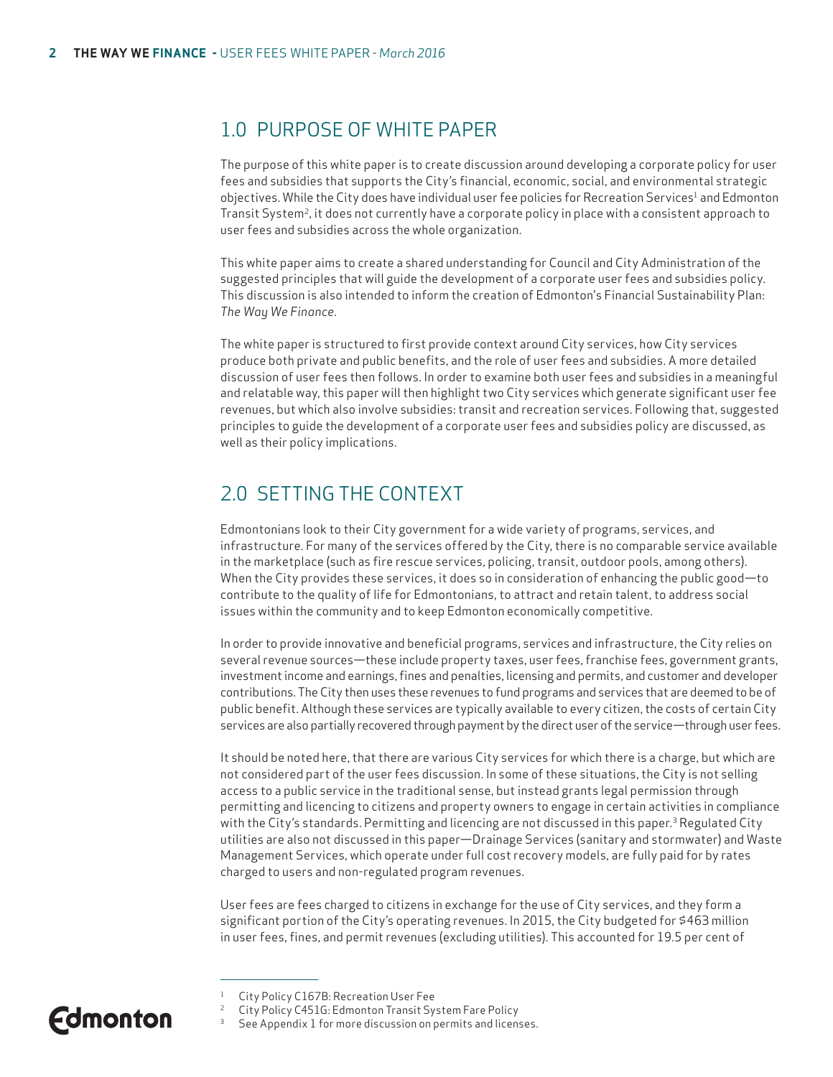### 1.0 PURPOSE OF WHITE PAPER

The purpose of this white paper is to create discussion around developing a corporate policy for user fees and subsidies that supports the City's financial, economic, social, and environmental strategic objectives. While the City does have individual user fee policies for Recreation Services<sup>1</sup> and Edmonton Transit System<sup>2</sup>, it does not currently have a corporate policy in place with a consistent approach to user fees and subsidies across the whole organization.

This white paper aims to create a shared understanding for Council and City Administration of the suggested principles that will guide the development of a corporate user fees and subsidies policy. This discussion is also intended to inform the creation of Edmonton's Financial Sustainability Plan: *The Way We Finance*.

The white paper is structured to first provide context around City services, how City services produce both private and public benefits, and the role of user fees and subsidies. A more detailed discussion of user fees then follows. In order to examine both user fees and subsidies in a meaningful and relatable way, this paper will then highlight two City services which generate significant user fee revenues, but which also involve subsidies: transit and recreation services. Following that, suggested principles to guide the development of a corporate user fees and subsidies policy are discussed, as well as their policy implications.

### 2.0 SETTING THE CONTEXT

Edmontonians look to their City government for a wide variety of programs, services, and infrastructure. For many of the services offered by the City, there is no comparable service available in the marketplace (such as fire rescue services, policing, transit, outdoor pools, among others). When the City provides these services, it does so in consideration of enhancing the public good—to contribute to the quality of life for Edmontonians, to attract and retain talent, to address social issues within the community and to keep Edmonton economically competitive.

In order to provide innovative and beneficial programs, services and infrastructure, the City relies on several revenue sources—these include property taxes, user fees, franchise fees, government grants, investment income and earnings, fines and penalties, licensing and permits, and customer and developer contributions. The City then uses these revenues to fund programs and services that are deemed to be of public benefit. Although these services are typically available to every citizen, the costs of certain City services are also partially recovered through payment by the direct user of the service—through user fees.

It should be noted here, that there are various City services for which there is a charge, but which are not considered part of the user fees discussion. In some of these situations, the City is not selling access to a public service in the traditional sense, but instead grants legal permission through permitting and licencing to citizens and property owners to engage in certain activities in compliance with the City's standards. Permitting and licencing are not discussed in this paper.<sup>3</sup> Regulated City utilities are also not discussed in this paper—Drainage Services (sanitary and stormwater) and Waste Management Services, which operate under full cost recovery models, are fully paid for by rates charged to users and non-regulated program revenues.

User fees are fees charged to citizens in exchange for the use of City services, and they form a significant portion of the City's operating revenues. In 2015, the City budgeted for \$463 million in user fees, fines, and permit revenues (excluding utilities). This accounted for 19.5 per cent of

City Policy C451G: Edmonton Transit System Fare Policy

<sup>1</sup> City Policy C167B: Recreation User Fee

See Appendix 1 for more discussion on permits and licenses.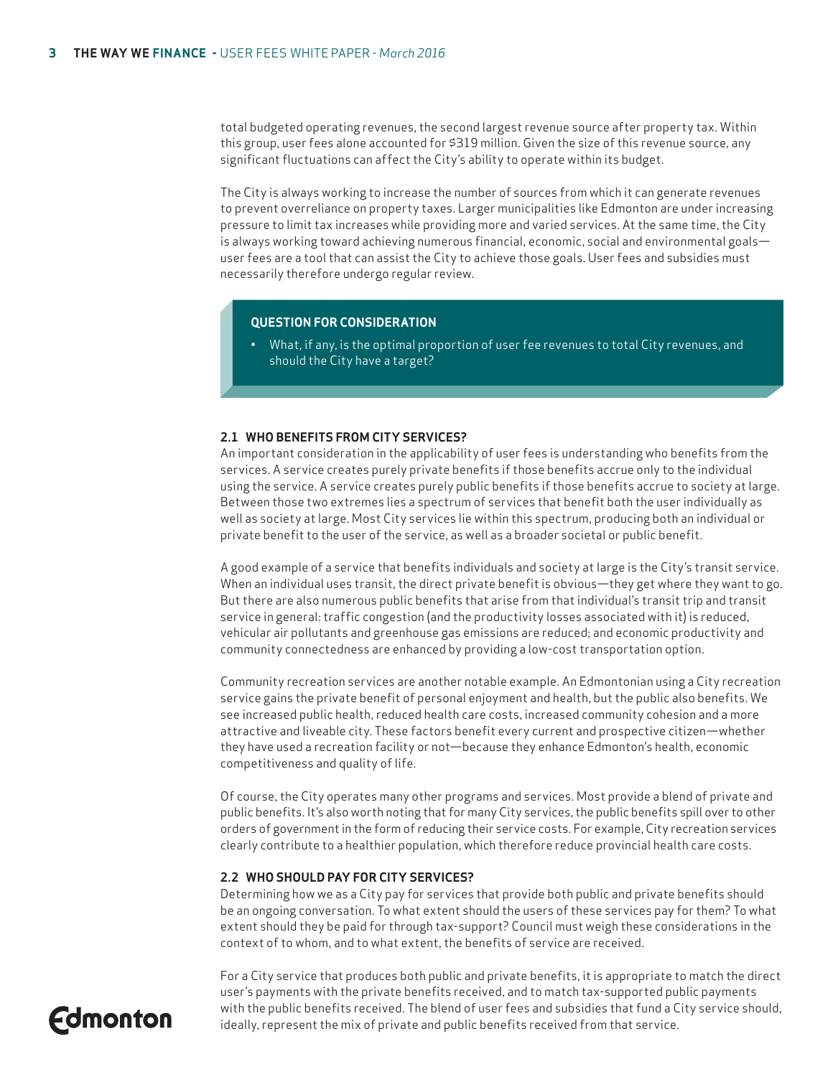total budgeted operating revenues, the second largest revenue source after property tax. Within this group, user fees alone accounted for \$319 million. Given the size of this revenue source, any significant fluctuations can affect the City's ability to operate within its budget.

The City is always working to increase the number of sources from which it can generate revenues to prevent overreliance on property taxes. Larger municipalities like Edmonton are under increasing pressure to limit tax increases while providing more and varied services. At the same time, the City is always working toward achieving numerous financial, economic, social and environmental goals user fees are a tool that can assist the City to achieve those goals. User fees and subsidies must necessarily therefore undergo regular review.

#### **QUESTION FOR CONSIDERATION**

• What, if any, is the optimal proportion of user fee revenues to total City revenues, and should the City have a target?

#### **2.1 WHO BENEFITS FROM CITY SERVICES?**

An important consideration in the applicability of user fees is understanding who benefits from the services. A service creates purely private benefits if those benefits accrue only to the individual using the service. A service creates purely public benefits if those benefits accrue to society at large. Between those two extremes lies a spectrum of services that benefit both the user individually as well as society at large. Most City services lie within this spectrum, producing both an individual or private benefit to the user of the service, as well as a broader societal or public benefit.

A good example of a service that benefits individuals and society at large is the City's transit service. When an individual uses transit, the direct private benefit is obvious—they get where they want to go. But there are also numerous public benefits that arise from that individual's transit trip and transit service in general: traffic congestion (and the productivity losses associated with it) is reduced, vehicular air pollutants and greenhouse gas emissions are reduced; and economic productivity and community connectedness are enhanced by providing a low-cost transportation option.

Community recreation services are another notable example. An Edmontonian using a City recreation service gains the private benefit of personal enjoyment and health, but the public also benefits. We see increased public health, reduced health care costs, increased community cohesion and a more attractive and liveable city. These factors benefit every current and prospective citizen—whether they have used a recreation facility or not—because they enhance Edmonton's health, economic competitiveness and quality of life.

Of course, the City operates many other programs and services. Most provide a blend of private and public benefits. It's also worth noting that for many City services, the public benefits spill over to other orders of government in the form of reducing their service costs. For example, City recreation services clearly contribute to a healthier population, which therefore reduce provincial health care costs.

#### **2.2 WHO SHOULD PAY FOR CITY SERVICES?**

Determining how we as a City pay for services that provide both public and private benefits should be an ongoing conversation. To what extent should the users of these services pay for them? To what extent should they be paid for through tax-support? Council must weigh these considerations in the context of to whom, and to what extent, the benefits of service are received.

For a City service that produces both public and private benefits, it is appropriate to match the direct user's payments with the private benefits received, and to match tax-supported public payments with the public benefits received. The blend of user fees and subsidies that fund a City service should, ideally, represent the mix of private and public benefits received from that service.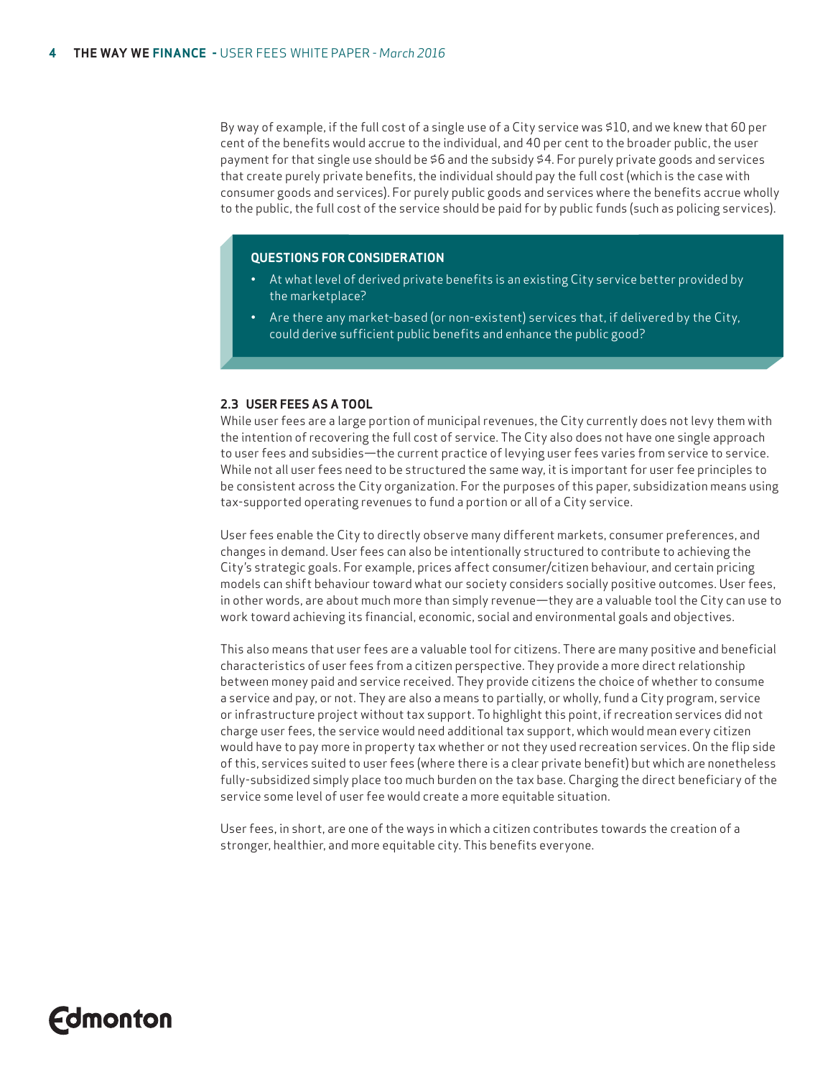By way of example, if the full cost of a single use of a City service was \$10, and we knew that 60 per cent of the benefits would accrue to the individual, and 40 per cent to the broader public, the user payment for that single use should be \$6 and the subsidy \$4. For purely private goods and services that create purely private benefits, the individual should pay the full cost (which is the case with consumer goods and services). For purely public goods and services where the benefits accrue wholly to the public, the full cost of the service should be paid for by public funds (such as policing services).

#### **QUESTIONS FOR CONSIDERATION**

- At what level of derived private benefits is an existing City service better provided by the marketplace?
- Are there any market-based (or non-existent) services that, if delivered by the City, could derive sufficient public benefits and enhance the public good?

#### **2.3 USER FEES AS A TOOL**

While user fees are a large portion of municipal revenues, the City currently does not levy them with the intention of recovering the full cost of service. The City also does not have one single approach to user fees and subsidies—the current practice of levying user fees varies from service to service. While not all user fees need to be structured the same way, it is important for user fee principles to be consistent across the City organization. For the purposes of this paper, subsidization means using tax-supported operating revenues to fund a portion or all of a City service.

User fees enable the City to directly observe many different markets, consumer preferences, and changes in demand. User fees can also be intentionally structured to contribute to achieving the City's strategic goals. For example, prices affect consumer/citizen behaviour, and certain pricing models can shift behaviour toward what our society considers socially positive outcomes. User fees, in other words, are about much more than simply revenue—they are a valuable tool the City can use to work toward achieving its financial, economic, social and environmental goals and objectives.

This also means that user fees are a valuable tool for citizens. There are many positive and beneficial characteristics of user fees from a citizen perspective. They provide a more direct relationship between money paid and service received. They provide citizens the choice of whether to consume a service and pay, or not. They are also a means to partially, or wholly, fund a City program, service or infrastructure project without tax support. To highlight this point, if recreation services did not charge user fees, the service would need additional tax support, which would mean every citizen would have to pay more in property tax whether or not they used recreation services. On the flip side of this, services suited to user fees (where there is a clear private benefit) but which are nonetheless fully-subsidized simply place too much burden on the tax base. Charging the direct beneficiary of the service some level of user fee would create a more equitable situation.

User fees, in short, are one of the ways in which a citizen contributes towards the creation of a stronger, healthier, and more equitable city. This benefits everyone.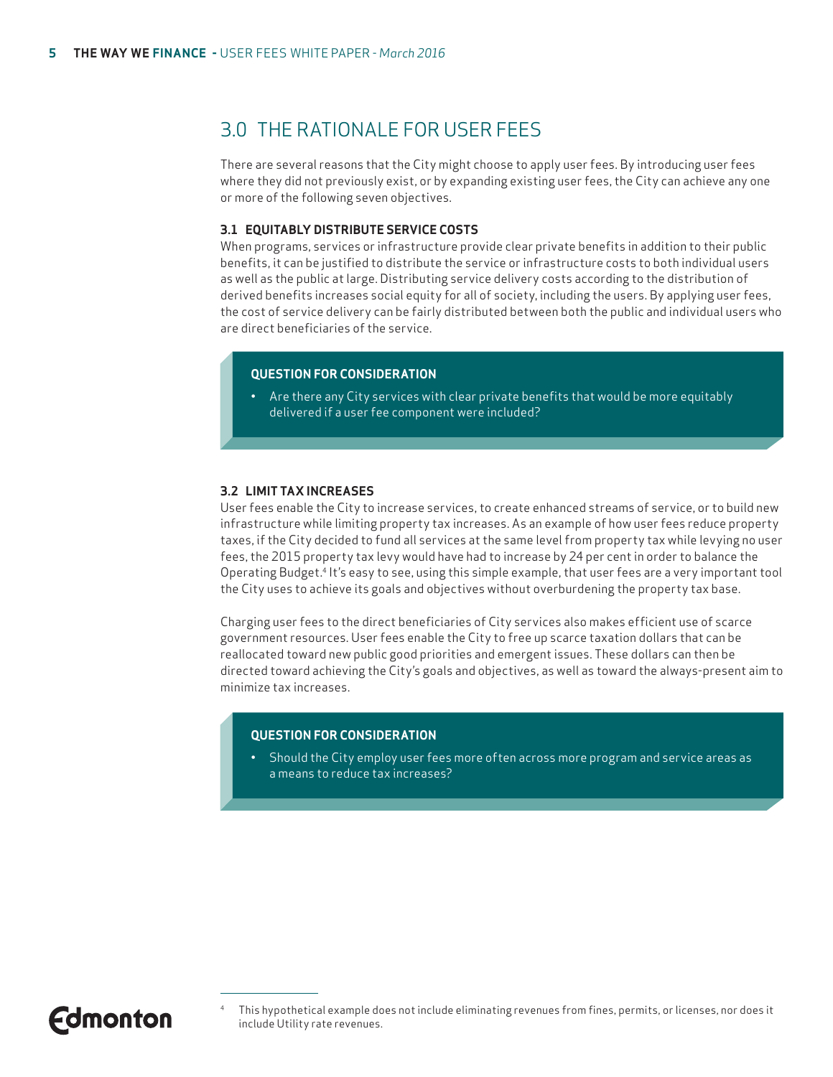### 3.0 THE RATIONALE FOR USER FEES

There are several reasons that the City might choose to apply user fees. By introducing user fees where they did not previously exist, or by expanding existing user fees, the City can achieve any one or more of the following seven objectives.

#### **3.1 EQUITABLY DISTRIBUTE SERVICE COSTS**

When programs, services or infrastructure provide clear private benefits in addition to their public benefits, it can be justified to distribute the service or infrastructure costs to both individual users as well as the public at large. Distributing service delivery costs according to the distribution of derived benefits increases social equity for all of society, including the users. By applying user fees, the cost of service delivery can be fairly distributed between both the public and individual users who are direct beneficiaries of the service.

#### **QUESTION FOR CONSIDERATION**

• Are there any City services with clear private benefits that would be more equitably delivered if a user fee component were included?

#### **3.2 LIMIT TAX INCREASES**

User fees enable the City to increase services, to create enhanced streams of service, or to build new infrastructure while limiting property tax increases. As an example of how user fees reduce property taxes, if the City decided to fund all services at the same level from property tax while levying no user fees, the 2015 property tax levy would have had to increase by 24 per cent in order to balance the Operating Budget.4 It's easy to see, using this simple example, that user fees are a very important tool the City uses to achieve its goals and objectives without overburdening the property tax base.

Charging user fees to the direct beneficiaries of City services also makes efficient use of scarce government resources. User fees enable the City to free up scarce taxation dollars that can be reallocated toward new public good priorities and emergent issues. These dollars can then be directed toward achieving the City's goals and objectives, as well as toward the always-present aim to minimize tax increases.

#### **QUESTION FOR CONSIDERATION**

• Should the City employ user fees more often across more program and service areas as a means to reduce tax increases?

**Fdmonton** 

<sup>4</sup> This hypothetical example does not include eliminating revenues from fines, permits, or licenses, nor does it include Utility rate revenues.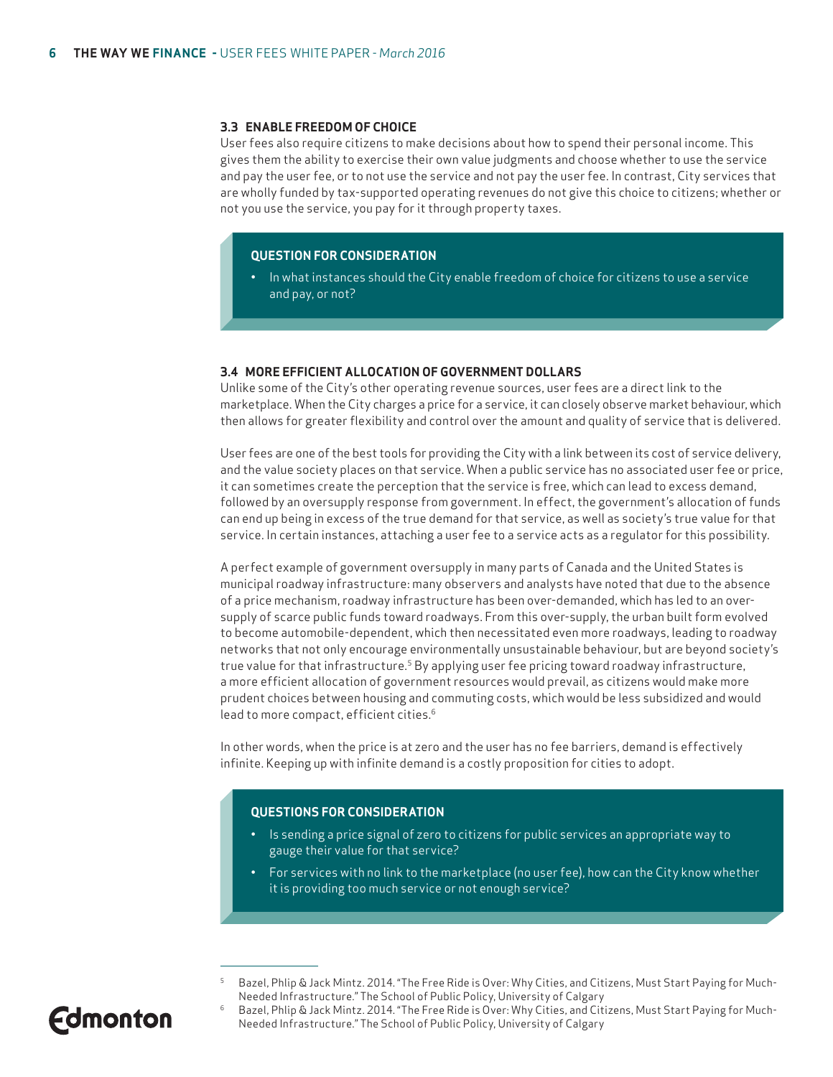#### **3.3 ENABLE FREEDOM OF CHOICE**

User fees also require citizens to make decisions about how to spend their personal income. This gives them the ability to exercise their own value judgments and choose whether to use the service and pay the user fee, or to not use the service and not pay the user fee. In contrast, City services that are wholly funded by tax-supported operating revenues do not give this choice to citizens; whether or not you use the service, you pay for it through property taxes.

#### **QUESTION FOR CONSIDERATION**

• In what instances should the City enable freedom of choice for citizens to use a service and pay, or not?

#### **3.4 MORE EFFICIENT ALLOCATION OF GOVERNMENT DOLLARS**

Unlike some of the City's other operating revenue sources, user fees are a direct link to the marketplace. When the City charges a price for a service, it can closely observe market behaviour, which then allows for greater flexibility and control over the amount and quality of service that is delivered.

User fees are one of the best tools for providing the City with a link between its cost of service delivery, and the value society places on that service. When a public service has no associated user fee or price, it can sometimes create the perception that the service is free, which can lead to excess demand, followed by an oversupply response from government. In effect, the government's allocation of funds can end up being in excess of the true demand for that service, as well as society's true value for that service. In certain instances, attaching a user fee to a service acts as a regulator for this possibility.

A perfect example of government oversupply in many parts of Canada and the United States is municipal roadway infrastructure: many observers and analysts have noted that due to the absence of a price mechanism, roadway infrastructure has been over-demanded, which has led to an oversupply of scarce public funds toward roadways. From this over-supply, the urban built form evolved to become automobile-dependent, which then necessitated even more roadways, leading to roadway networks that not only encourage environmentally unsustainable behaviour, but are beyond society's true value for that infrastructure.<sup>5</sup> By applying user fee pricing toward roadway infrastructure, a more efficient allocation of government resources would prevail, as citizens would make more prudent choices between housing and commuting costs, which would be less subsidized and would lead to more compact, efficient cities.6

In other words, when the price is at zero and the user has no fee barriers, demand is effectively infinite. Keeping up with infinite demand is a costly proposition for cities to adopt.

#### **QUESTIONS FOR CONSIDERATION**

- Is sending a price signal of zero to citizens for public services an appropriate way to gauge their value for that service?
- For services with no link to the marketplace (no user fee), how can the City know whether it is providing too much service or not enough service?

- 5 Bazel, Phlip & Jack Mintz. 2014. "The Free Ride is Over: Why Cities, and Citizens, Must Start Paying for Much-Needed Infrastructure." The School of Public Policy, University of Calgary
- 6 Bazel, Phlip & Jack Mintz. 2014. "The Free Ride is Over: Why Cities, and Citizens, Must Start Paying for Much-Needed Infrastructure." The School of Public Policy, University of Calgary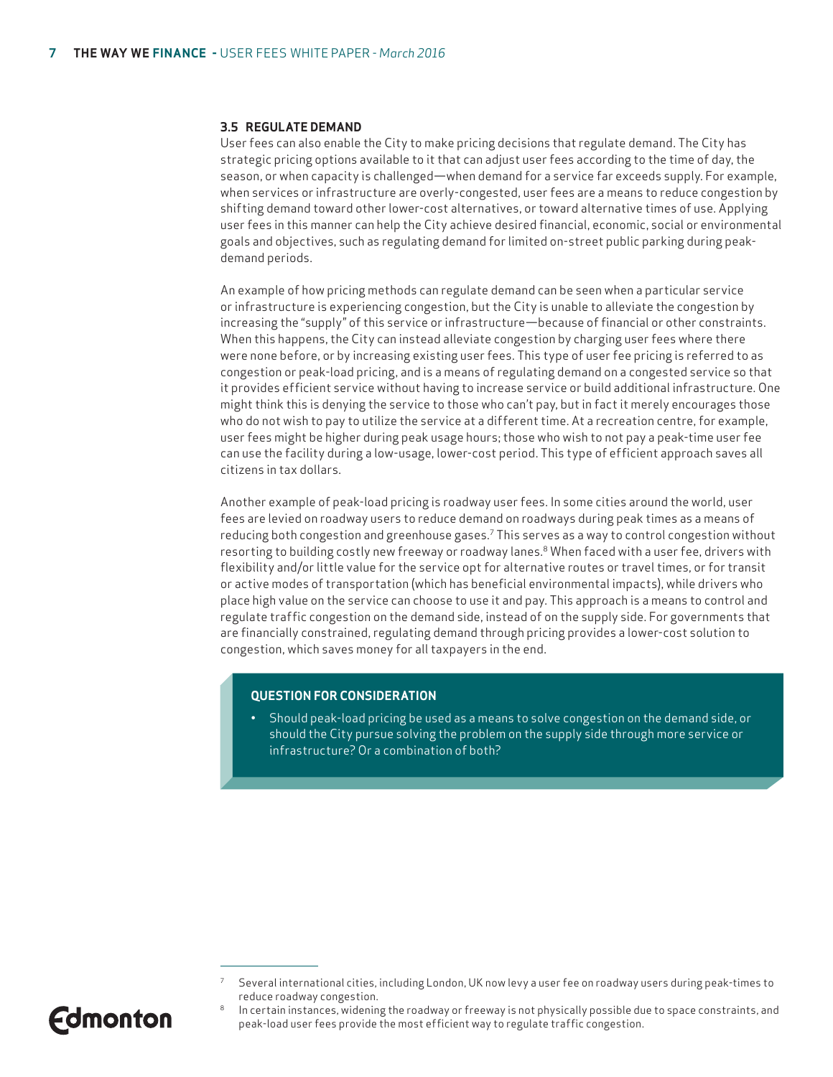#### **3.5 REGULATE DEMAND**

User fees can also enable the City to make pricing decisions that regulate demand. The City has strategic pricing options available to it that can adjust user fees according to the time of day, the season, or when capacity is challenged—when demand for a service far exceeds supply. For example, when services or infrastructure are overly-congested, user fees are a means to reduce congestion by shifting demand toward other lower-cost alternatives, or toward alternative times of use. Applying user fees in this manner can help the City achieve desired financial, economic, social or environmental goals and objectives, such as regulating demand for limited on-street public parking during peakdemand periods.

An example of how pricing methods can regulate demand can be seen when a particular service or infrastructure is experiencing congestion, but the City is unable to alleviate the congestion by increasing the "supply" of this service or infrastructure—because of financial or other constraints. When this happens, the City can instead alleviate congestion by charging user fees where there were none before, or by increasing existing user fees. This type of user fee pricing is referred to as congestion or peak-load pricing, and is a means of regulating demand on a congested service so that it provides efficient service without having to increase service or build additional infrastructure. One might think this is denying the service to those who can't pay, but in fact it merely encourages those who do not wish to pay to utilize the service at a different time. At a recreation centre, for example, user fees might be higher during peak usage hours; those who wish to not pay a peak-time user fee can use the facility during a low-usage, lower-cost period. This type of efficient approach saves all citizens in tax dollars.

Another example of peak-load pricing is roadway user fees. In some cities around the world, user fees are levied on roadway users to reduce demand on roadways during peak times as a means of reducing both congestion and greenhouse gases.7 This serves as a way to control congestion without resorting to building costly new freeway or roadway lanes.<sup>8</sup> When faced with a user fee, drivers with flexibility and/or little value for the service opt for alternative routes or travel times, or for transit or active modes of transportation (which has beneficial environmental impacts), while drivers who place high value on the service can choose to use it and pay. This approach is a means to control and regulate traffic congestion on the demand side, instead of on the supply side. For governments that are financially constrained, regulating demand through pricing provides a lower-cost solution to congestion, which saves money for all taxpayers in the end.

#### **QUESTION FOR CONSIDERATION**

• Should peak-load pricing be used as a means to solve congestion on the demand side, or should the City pursue solving the problem on the supply side through more service or infrastructure? Or a combination of both?



<sup>7</sup> Several international cities, including London, UK now levy a user fee on roadway users during peak-times to reduce roadway congestion.

In certain instances, widening the roadway or freeway is not physically possible due to space constraints, and peak-load user fees provide the most efficient way to regulate traffic congestion.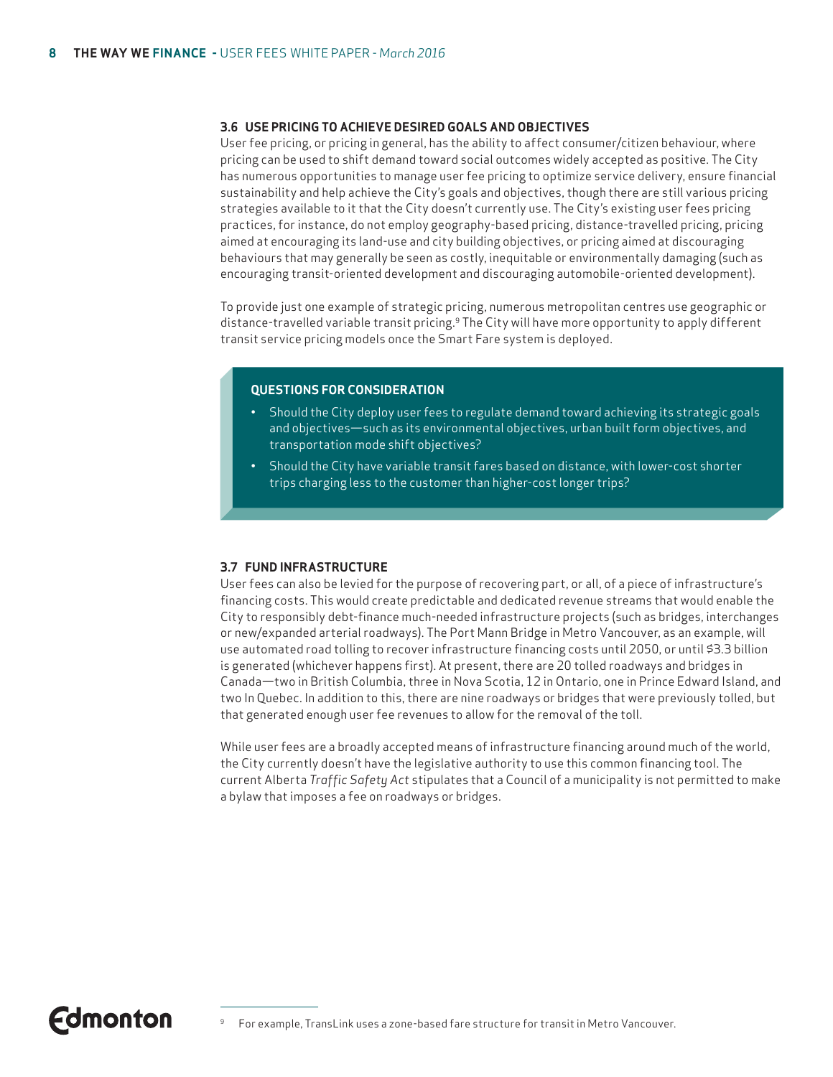#### **3.6 USE PRICING TO ACHIEVE DESIRED GOALS AND OBJECTIVES**

User fee pricing, or pricing in general, has the ability to affect consumer/citizen behaviour, where pricing can be used to shift demand toward social outcomes widely accepted as positive. The City has numerous opportunities to manage user fee pricing to optimize service delivery, ensure financial sustainability and help achieve the City's goals and objectives, though there are still various pricing strategies available to it that the City doesn't currently use. The City's existing user fees pricing practices, for instance, do not employ geography-based pricing, distance-travelled pricing, pricing aimed at encouraging its land-use and city building objectives, or pricing aimed at discouraging behaviours that may generally be seen as costly, inequitable or environmentally damaging (such as encouraging transit-oriented development and discouraging automobile-oriented development).

To provide just one example of strategic pricing, numerous metropolitan centres use geographic or distance-travelled variable transit pricing.<sup>9</sup> The City will have more opportunity to apply different transit service pricing models once the Smart Fare system is deployed.

#### **QUESTIONS FOR CONSIDERATION**

- Should the City deploy user fees to regulate demand toward achieving its strategic goals and objectives—such as its environmental objectives, urban built form objectives, and transportation mode shift objectives?
- Should the City have variable transit fares based on distance, with lower-cost shorter trips charging less to the customer than higher-cost longer trips?

#### **3.7 FUND INFRASTRUCTURE**

User fees can also be levied for the purpose of recovering part, or all, of a piece of infrastructure's financing costs. This would create predictable and dedicated revenue streams that would enable the City to responsibly debt-finance much-needed infrastructure projects (such as bridges, interchanges or new/expanded arterial roadways). The Port Mann Bridge in Metro Vancouver, as an example, will use automated road tolling to recover infrastructure financing costs until 2050, or until \$3.3 billion is generated (whichever happens first). At present, there are 20 tolled roadways and bridges in Canada—two in British Columbia, three in Nova Scotia, 12 in Ontario, one in Prince Edward Island, and two In Quebec. In addition to this, there are nine roadways or bridges that were previously tolled, but that generated enough user fee revenues to allow for the removal of the toll.

While user fees are a broadly accepted means of infrastructure financing around much of the world, the City currently doesn't have the legislative authority to use this common financing tool. The current Alberta *Traffic Safety Act* stipulates that a Council of a municipality is not permitted to make a bylaw that imposes a fee on roadways or bridges.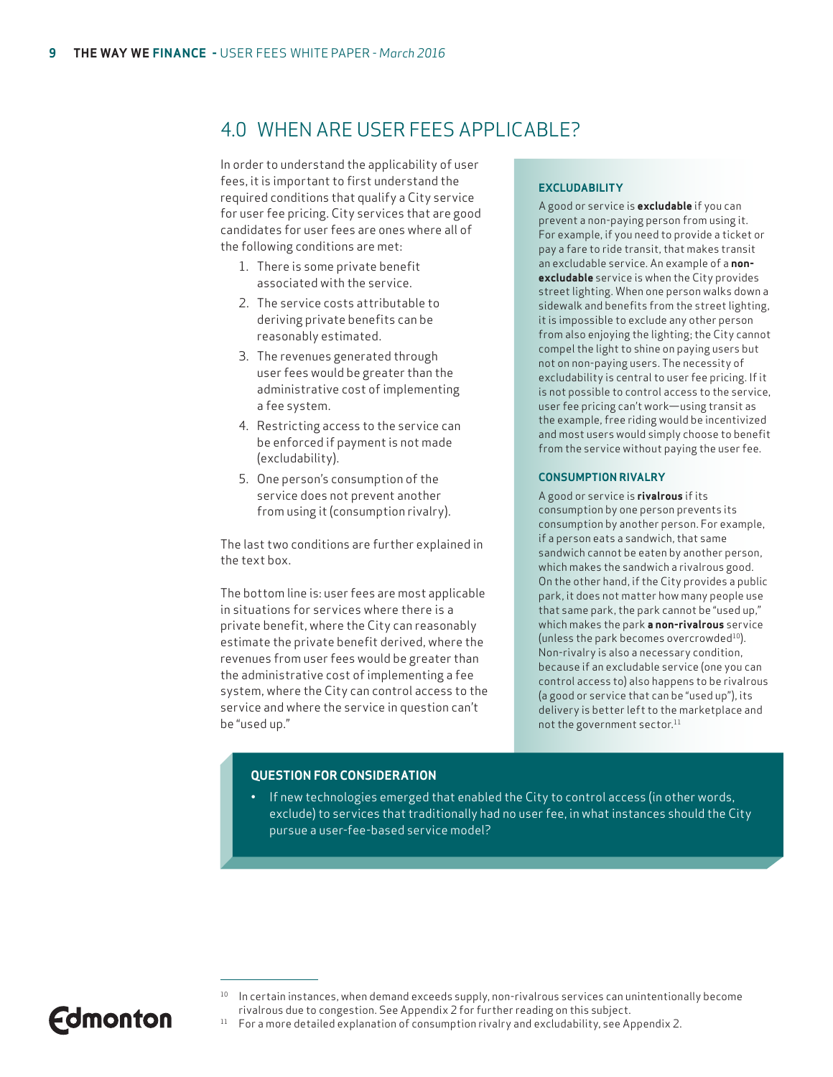### 4.0 WHEN ARE USER FEES APPLICABLE?

In order to understand the applicability of user fees, it is important to first understand the required conditions that qualify a City service for user fee pricing. City services that are good candidates for user fees are ones where all of the following conditions are met:

- 1. There is some private benefit associated with the service.
- 2. The service costs attributable to deriving private benefits can be reasonably estimated.
- 3. The revenues generated through user fees would be greater than the administrative cost of implementing a fee system.
- 4. Restricting access to the service can be enforced if payment is not made (excludability).
- 5. One person's consumption of the service does not prevent another from using it (consumption rivalry).

The last two conditions are further explained in the text box.

The bottom line is: user fees are most applicable in situations for services where there is a private benefit, where the City can reasonably estimate the private benefit derived, where the revenues from user fees would be greater than the administrative cost of implementing a fee system, where the City can control access to the service and where the service in question can't be "used up."

#### **EXCLUDABILITY**

A good or service is **excludable** if you can prevent a non-paying person from using it. For example, if you need to provide a ticket or pay a fare to ride transit, that makes transit an excludable service. An example of a **nonexcludable** service is when the City provides street lighting. When one person walks down a sidewalk and benefits from the street lighting, it is impossible to exclude any other person from also enjoying the lighting; the City cannot compel the light to shine on paying users but not on non-paying users. The necessity of excludability is central to user fee pricing. If it is not possible to control access to the service, user fee pricing can't work—using transit as the example, free riding would be incentivized and most users would simply choose to benefit from the service without paying the user fee.

#### **CONSUMPTION RIVALRY**

A good or service is **rivalrous** if its consumption by one person prevents its consumption by another person. For example, if a person eats a sandwich, that same sandwich cannot be eaten by another person, which makes the sandwich a rivalrous good. On the other hand, if the City provides a public park, it does not matter how many people use that same park, the park cannot be "used up," which makes the park **a non-rivalrous** service (unless the park becomes overcrowded<sup>10</sup>). Non-rivalry is also a necessary condition, because if an excludable service (one you can control access to) also happens to be rivalrous (a good or service that can be "used up"), its delivery is better left to the marketplace and not the government sector.<sup>11</sup>

#### **QUESTION FOR CONSIDERATION**

• If new technologies emerged that enabled the City to control access (in other words, exclude) to services that traditionally had no user fee, in what instances should the City pursue a user-fee-based service model?

- 10 In certain instances, when demand exceeds supply, non-rivalrous services can unintentionally become rivalrous due to congestion. See Appendix 2 for further reading on this subject.
- <sup>11</sup> For a more detailed explanation of consumption rivalry and excludability, see Appendix 2.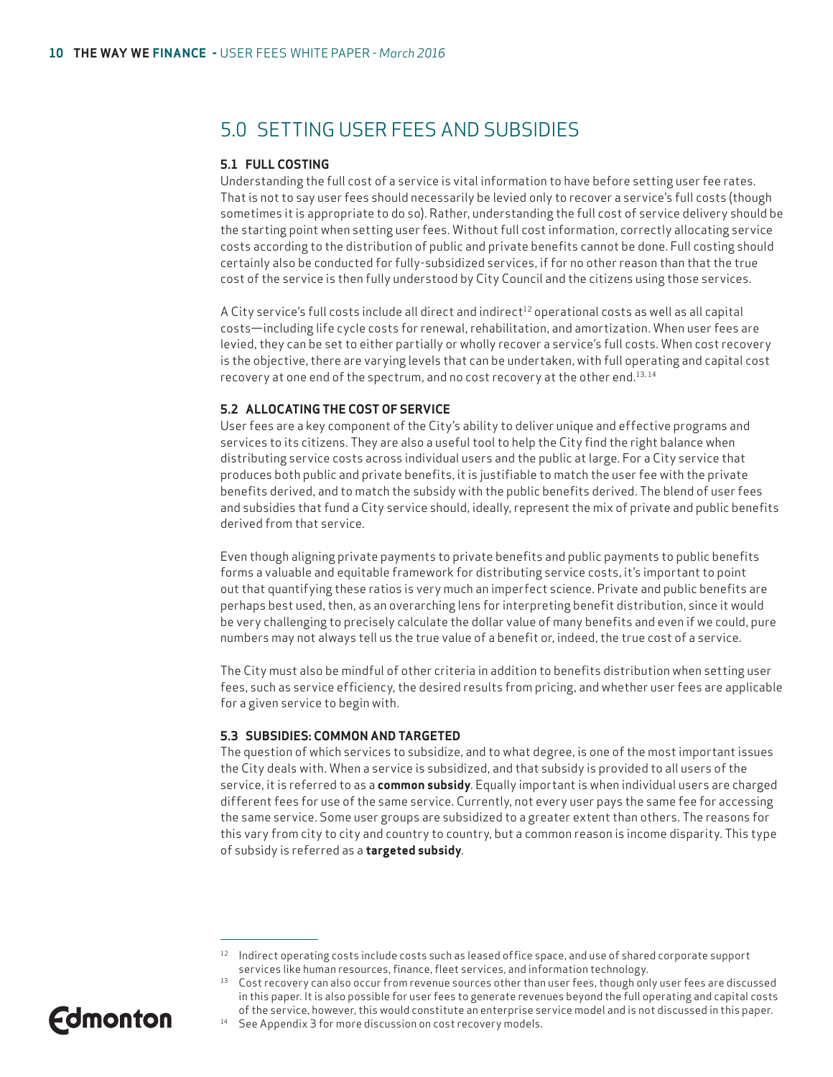### 5.0 SETTING USER FEES AND SUBSIDIES

#### **5.1 FULL COSTING**

Understanding the full cost of a service is vital information to have before setting user fee rates. That is not to say user fees should necessarily be levied only to recover a service's full costs (though sometimes it is appropriate to do so). Rather, understanding the full cost of service delivery should be the starting point when setting user fees. Without full cost information, correctly allocating service costs according to the distribution of public and private benefits cannot be done. Full costing should certainly also be conducted for fully-subsidized services, if for no other reason than that the true cost of the service is then fully understood by City Council and the citizens using those services.

A City service's full costs include all direct and indirect<sup>12</sup> operational costs as well as all capital costs—including life cycle costs for renewal, rehabilitation, and amortization. When user fees are levied, they can be set to either partially or wholly recover a service's full costs. When cost recovery is the objective, there are varying levels that can be undertaken, with full operating and capital cost recovery at one end of the spectrum, and no cost recovery at the other end.<sup>13,14</sup>

#### **5.2 ALLOCATING THE COST OF SERVICE**

User fees are a key component of the City's ability to deliver unique and effective programs and services to its citizens. They are also a useful tool to help the City find the right balance when distributing service costs across individual users and the public at large. For a City service that produces both public and private benefits, it is justifiable to match the user fee with the private benefits derived, and to match the subsidy with the public benefits derived. The blend of user fees and subsidies that fund a City service should, ideally, represent the mix of private and public benefits derived from that service.

Even though aligning private payments to private benefits and public payments to public benefits forms a valuable and equitable framework for distributing service costs, it's important to point out that quantifying these ratios is very much an imperfect science. Private and public benefits are perhaps best used, then, as an overarching lens for interpreting benefit distribution, since it would be very challenging to precisely calculate the dollar value of many benefits and even if we could, pure numbers may not always tell us the true value of a benefit or, indeed, the true cost of a service.

The City must also be mindful of other criteria in addition to benefits distribution when setting user fees, such as service efficiency, the desired results from pricing, and whether user fees are applicable for a given service to begin with.

#### **5.3 SUBSIDIES: COMMON AND TARGETED**

The question of which services to subsidize, and to what degree, is one of the most important issues the City deals with. When a service is subsidized, and that subsidy is provided to all users of the service, it is referred to as a **common subsidy**. Equally important is when individual users are charged different fees for use of the same service. Currently, not every user pays the same fee for accessing the same service. Some user groups are subsidized to a greater extent than others. The reasons for this vary from city to city and country to country, but a common reason is income disparity. This type of subsidy is referred as a **targeted subsidy**.

<sup>&</sup>lt;sup>14</sup> See Appendix 3 for more discussion on cost recovery models.



<sup>12</sup> Indirect operating costs include costs such as leased office space, and use of shared corporate support services like human resources, finance, fleet services, and information technology.

<sup>&</sup>lt;sup>13</sup> Cost recovery can also occur from revenue sources other than user fees, though only user fees are discussed in this paper. It is also possible for user fees to generate revenues beyond the full operating and capital costs of the service, however, this would constitute an enterprise service model and is not discussed in this paper.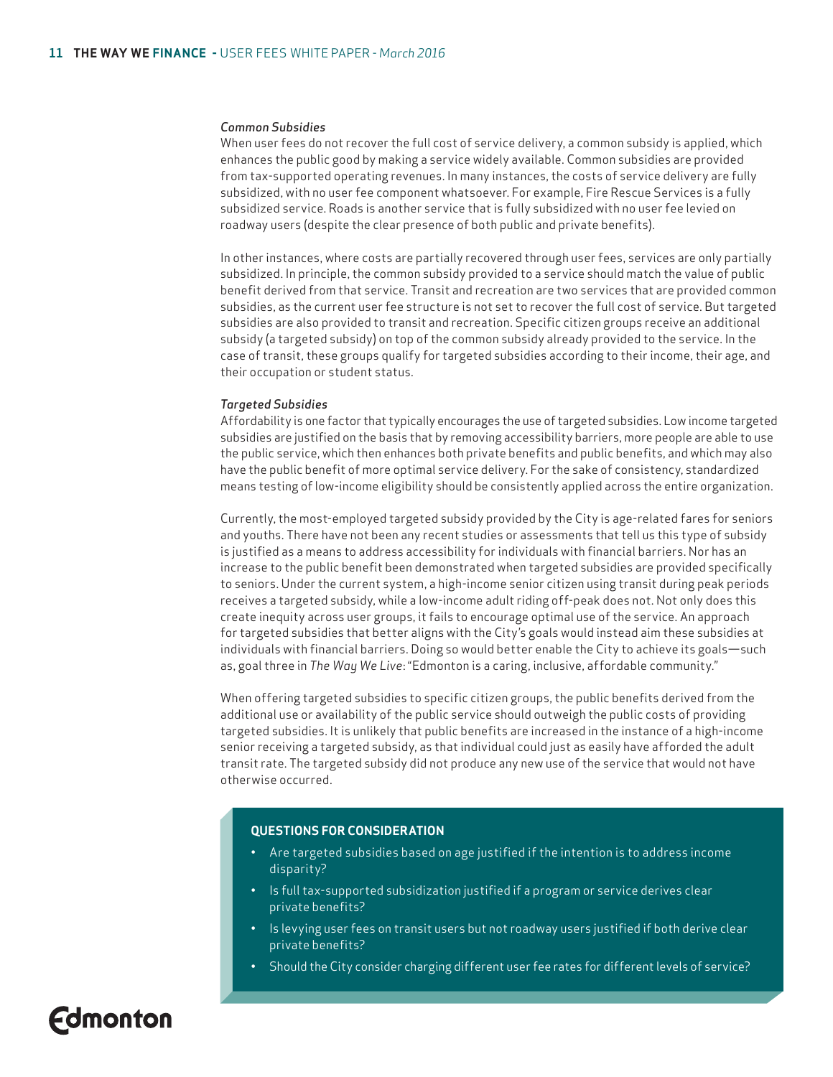#### *Common Subsidies*

When user fees do not recover the full cost of service delivery, a common subsidy is applied, which enhances the public good by making a service widely available. Common subsidies are provided from tax-supported operating revenues. In many instances, the costs of service delivery are fully subsidized, with no user fee component whatsoever. For example, Fire Rescue Services is a fully subsidized service. Roads is another service that is fully subsidized with no user fee levied on roadway users (despite the clear presence of both public and private benefits).

In other instances, where costs are partially recovered through user fees, services are only partially subsidized. In principle, the common subsidy provided to a service should match the value of public benefit derived from that service. Transit and recreation are two services that are provided common subsidies, as the current user fee structure is not set to recover the full cost of service. But targeted subsidies are also provided to transit and recreation. Specific citizen groups receive an additional subsidy (a targeted subsidy) on top of the common subsidy already provided to the service. In the case of transit, these groups qualify for targeted subsidies according to their income, their age, and their occupation or student status.

#### *Targeted Subsidies*

Affordability is one factor that typically encourages the use of targeted subsidies. Low income targeted subsidies are justified on the basis that by removing accessibility barriers, more people are able to use the public service, which then enhances both private benefits and public benefits, and which may also have the public benefit of more optimal service delivery. For the sake of consistency, standardized means testing of low-income eligibility should be consistently applied across the entire organization.

Currently, the most-employed targeted subsidy provided by the City is age-related fares for seniors and youths. There have not been any recent studies or assessments that tell us this type of subsidy is justified as a means to address accessibility for individuals with financial barriers. Nor has an increase to the public benefit been demonstrated when targeted subsidies are provided specifically to seniors. Under the current system, a high-income senior citizen using transit during peak periods receives a targeted subsidy, while a low-income adult riding off-peak does not. Not only does this create inequity across user groups, it fails to encourage optimal use of the service. An approach for targeted subsidies that better aligns with the City's goals would instead aim these subsidies at individuals with financial barriers. Doing so would better enable the City to achieve its goals—such as, goal three in *The Way We Live*: "Edmonton is a caring, inclusive, affordable community."

When offering targeted subsidies to specific citizen groups, the public benefits derived from the additional use or availability of the public service should outweigh the public costs of providing targeted subsidies. It is unlikely that public benefits are increased in the instance of a high-income senior receiving a targeted subsidy, as that individual could just as easily have afforded the adult transit rate. The targeted subsidy did not produce any new use of the service that would not have otherwise occurred.

#### **QUESTIONS FOR CONSIDERATION**

- Are targeted subsidies based on age justified if the intention is to address income disparity?
- Is full tax-supported subsidization justified if a program or service derives clear private benefits?
- Is levying user fees on transit users but not roadway users justified if both derive clear private benefits?
- Should the City consider charging different user fee rates for different levels of service?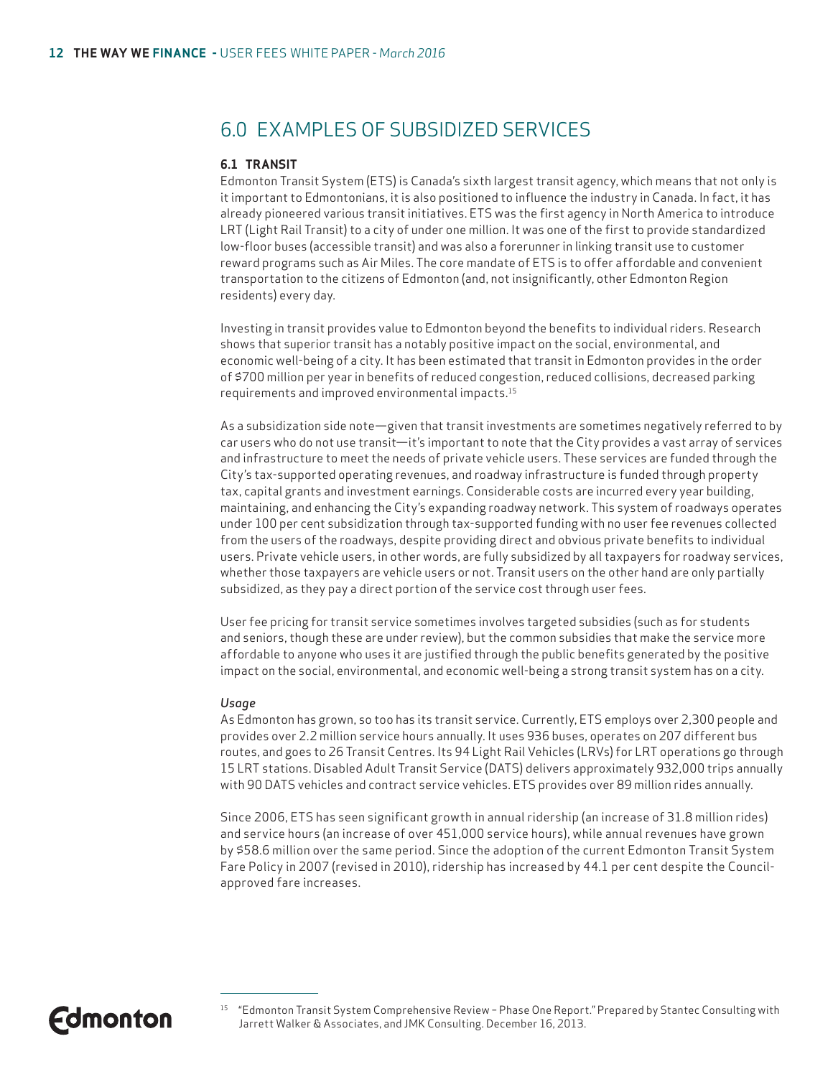### 6.0 EXAMPLES OF SUBSIDIZED SERVICES

#### **6.1 TRANSIT**

Edmonton Transit System (ETS) is Canada's sixth largest transit agency, which means that not only is it important to Edmontonians, it is also positioned to influence the industry in Canada. In fact, it has already pioneered various transit initiatives. ETS was the first agency in North America to introduce LRT (Light Rail Transit) to a city of under one million. It was one of the first to provide standardized low-floor buses (accessible transit) and was also a forerunner in linking transit use to customer reward programs such as Air Miles. The core mandate of ETS is to offer affordable and convenient transportation to the citizens of Edmonton (and, not insignificantly, other Edmonton Region residents) every day.

Investing in transit provides value to Edmonton beyond the benefits to individual riders. Research shows that superior transit has a notably positive impact on the social, environmental, and economic well-being of a city. It has been estimated that transit in Edmonton provides in the order of \$700 million per year in benefits of reduced congestion, reduced collisions, decreased parking requirements and improved environmental impacts.15

As a subsidization side note—given that transit investments are sometimes negatively referred to by car users who do not use transit—it's important to note that the City provides a vast array of services and infrastructure to meet the needs of private vehicle users. These services are funded through the City's tax-supported operating revenues, and roadway infrastructure is funded through property tax, capital grants and investment earnings. Considerable costs are incurred every year building, maintaining, and enhancing the City's expanding roadway network. This system of roadways operates under 100 per cent subsidization through tax-supported funding with no user fee revenues collected from the users of the roadways, despite providing direct and obvious private benefits to individual users. Private vehicle users, in other words, are fully subsidized by all taxpayers for roadway services, whether those taxpayers are vehicle users or not. Transit users on the other hand are only partially subsidized, as they pay a direct portion of the service cost through user fees.

User fee pricing for transit service sometimes involves targeted subsidies (such as for students and seniors, though these are under review), but the common subsidies that make the service more affordable to anyone who uses it are justified through the public benefits generated by the positive impact on the social, environmental, and economic well-being a strong transit system has on a city.

#### *Usage*

As Edmonton has grown, so too has its transit service. Currently, ETS employs over 2,300 people and provides over 2.2 million service hours annually. It uses 936 buses, operates on 207 different bus routes, and goes to 26 Transit Centres. Its 94 Light Rail Vehicles (LRVs) for LRT operations go through 15 LRT stations. Disabled Adult Transit Service (DATS) delivers approximately 932,000 trips annually with 90 DATS vehicles and contract service vehicles. ETS provides over 89 million rides annually.

Since 2006, ETS has seen significant growth in annual ridership (an increase of 31.8 million rides) and service hours (an increase of over 451,000 service hours), while annual revenues have grown by \$58.6 million over the same period. Since the adoption of the current Edmonton Transit System Fare Policy in 2007 (revised in 2010), ridership has increased by 44.1 per cent despite the Councilapproved fare increases.

<sup>15 &</sup>quot;Edmonton Transit System Comprehensive Review – Phase One Report." Prepared by Stantec Consulting with Jarrett Walker & Associates, and JMK Consulting. December 16, 2013.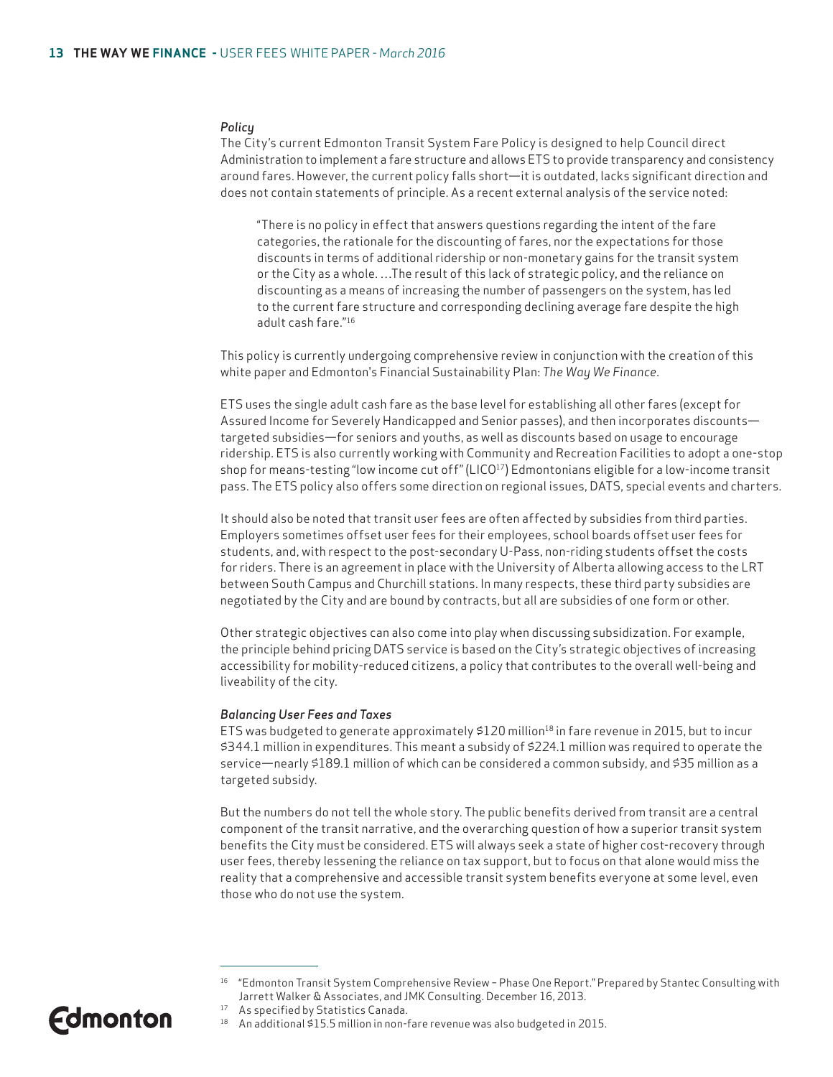#### *Policy*

The City's current Edmonton Transit System Fare Policy is designed to help Council direct Administration to implement a fare structure and allows ETS to provide transparency and consistency around fares. However, the current policy falls short—it is outdated, lacks significant direction and does not contain statements of principle. As a recent external analysis of the service noted:

"There is no policy in effect that answers questions regarding the intent of the fare categories, the rationale for the discounting of fares, nor the expectations for those discounts in terms of additional ridership or non-monetary gains for the transit system or the City as a whole. …The result of this lack of strategic policy, and the reliance on discounting as a means of increasing the number of passengers on the system, has led to the current fare structure and corresponding declining average fare despite the high adult cash fare."16

This policy is currently undergoing comprehensive review in conjunction with the creation of this white paper and Edmonton's Financial Sustainability Plan: *The Way We Finance*.

ETS uses the single adult cash fare as the base level for establishing all other fares (except for Assured Income for Severely Handicapped and Senior passes), and then incorporates discounts targeted subsidies—for seniors and youths, as well as discounts based on usage to encourage ridership. ETS is also currently working with Community and Recreation Facilities to adopt a one-stop shop for means-testing "low income cut off" ( $LICO^{17}$ ) Edmontonians eligible for a low-income transit pass. The ETS policy also offers some direction on regional issues, DATS, special events and charters.

It should also be noted that transit user fees are often affected by subsidies from third parties. Employers sometimes offset user fees for their employees, school boards offset user fees for students, and, with respect to the post-secondary U-Pass, non-riding students offset the costs for riders. There is an agreement in place with the University of Alberta allowing access to the LRT between South Campus and Churchill stations. In many respects, these third party subsidies are negotiated by the City and are bound by contracts, but all are subsidies of one form or other.

Other strategic objectives can also come into play when discussing subsidization. For example, the principle behind pricing DATS service is based on the City's strategic objectives of increasing accessibility for mobility-reduced citizens, a policy that contributes to the overall well-being and liveability of the city.

#### *Balancing User Fees and Taxes*

ETS was budgeted to generate approximately  $$120$  million<sup>18</sup> in fare revenue in 2015, but to incur \$344.1 million in expenditures. This meant a subsidy of \$224.1 million was required to operate the service—nearly \$189.1 million of which can be considered a common subsidy, and \$35 million as a targeted subsidy.

But the numbers do not tell the whole story. The public benefits derived from transit are a central component of the transit narrative, and the overarching question of how a superior transit system benefits the City must be considered. ETS will always seek a state of higher cost-recovery through user fees, thereby lessening the reliance on tax support, but to focus on that alone would miss the reality that a comprehensive and accessible transit system benefits everyone at some level, even those who do not use the system.

<sup>16 &</sup>quot;Edmonton Transit System Comprehensive Review – Phase One Report." Prepared by Stantec Consulting with Jarrett Walker & Associates, and JMK Consulting. December 16, 2013.

<sup>17</sup> As specified by Statistics Canada.

<sup>18</sup> An additional \$15.5 million in non-fare revenue was also budgeted in 2015.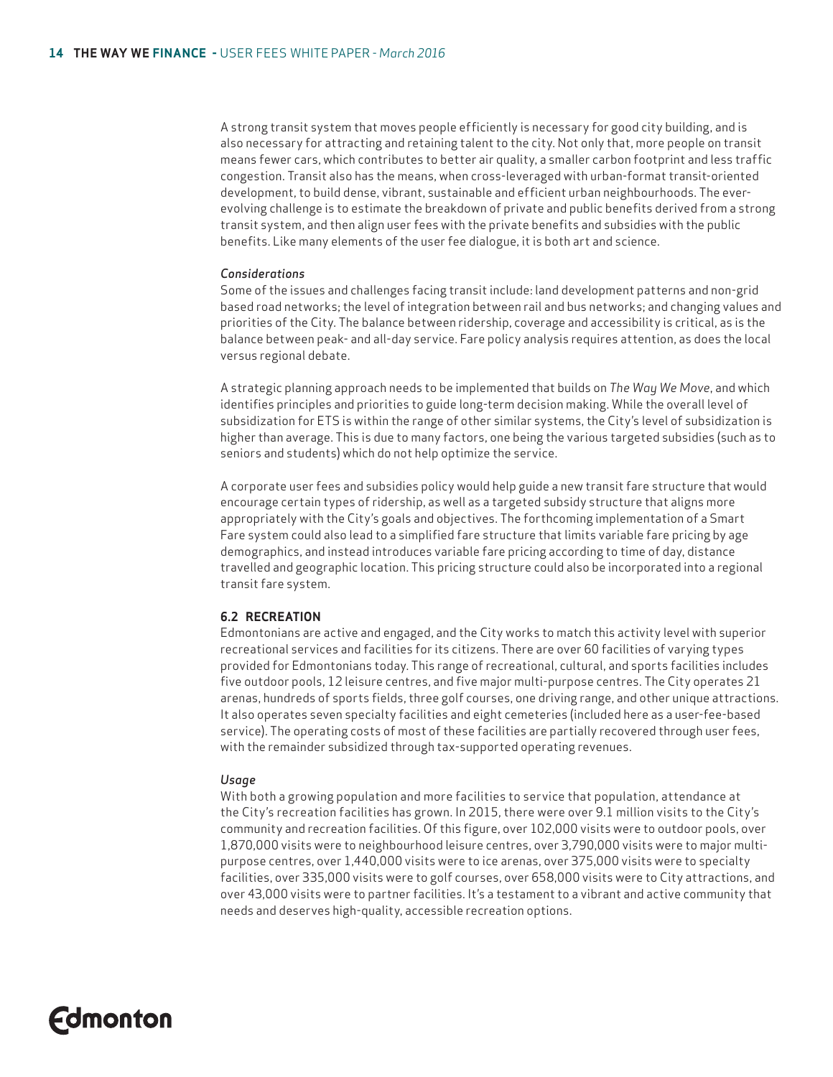A strong transit system that moves people efficiently is necessary for good city building, and is also necessary for attracting and retaining talent to the city. Not only that, more people on transit means fewer cars, which contributes to better air quality, a smaller carbon footprint and less traffic congestion. Transit also has the means, when cross-leveraged with urban-format transit-oriented development, to build dense, vibrant, sustainable and efficient urban neighbourhoods. The everevolving challenge is to estimate the breakdown of private and public benefits derived from a strong transit system, and then align user fees with the private benefits and subsidies with the public benefits. Like many elements of the user fee dialogue, it is both art and science.

#### *Considerations*

Some of the issues and challenges facing transit include: land development patterns and non-grid based road networks; the level of integration between rail and bus networks; and changing values and priorities of the City. The balance between ridership, coverage and accessibility is critical, as is the balance between peak- and all-day service. Fare policy analysis requires attention, as does the local versus regional debate.

A strategic planning approach needs to be implemented that builds on *The Way We Move*, and which identifies principles and priorities to guide long-term decision making. While the overall level of subsidization for ETS is within the range of other similar systems, the City's level of subsidization is higher than average. This is due to many factors, one being the various targeted subsidies (such as to seniors and students) which do not help optimize the service.

A corporate user fees and subsidies policy would help guide a new transit fare structure that would encourage certain types of ridership, as well as a targeted subsidy structure that aligns more appropriately with the City's goals and objectives. The forthcoming implementation of a Smart Fare system could also lead to a simplified fare structure that limits variable fare pricing by age demographics, and instead introduces variable fare pricing according to time of day, distance travelled and geographic location. This pricing structure could also be incorporated into a regional transit fare system.

#### **6.2 RECREATION**

Edmontonians are active and engaged, and the City works to match this activity level with superior recreational services and facilities for its citizens. There are over 60 facilities of varying types provided for Edmontonians today. This range of recreational, cultural, and sports facilities includes five outdoor pools, 12 leisure centres, and five major multi-purpose centres. The City operates 21 arenas, hundreds of sports fields, three golf courses, one driving range, and other unique attractions. It also operates seven specialty facilities and eight cemeteries (included here as a user-fee-based service). The operating costs of most of these facilities are partially recovered through user fees, with the remainder subsidized through tax-supported operating revenues.

#### *Usage*

With both a growing population and more facilities to service that population, attendance at the City's recreation facilities has grown. In 2015, there were over 9.1 million visits to the City's community and recreation facilities. Of this figure, over 102,000 visits were to outdoor pools, over 1,870,000 visits were to neighbourhood leisure centres, over 3,790,000 visits were to major multipurpose centres, over 1,440,000 visits were to ice arenas, over 375,000 visits were to specialty facilities, over 335,000 visits were to golf courses, over 658,000 visits were to City attractions, and over 43,000 visits were to partner facilities. It's a testament to a vibrant and active community that needs and deserves high-quality, accessible recreation options.

# **Edmonton**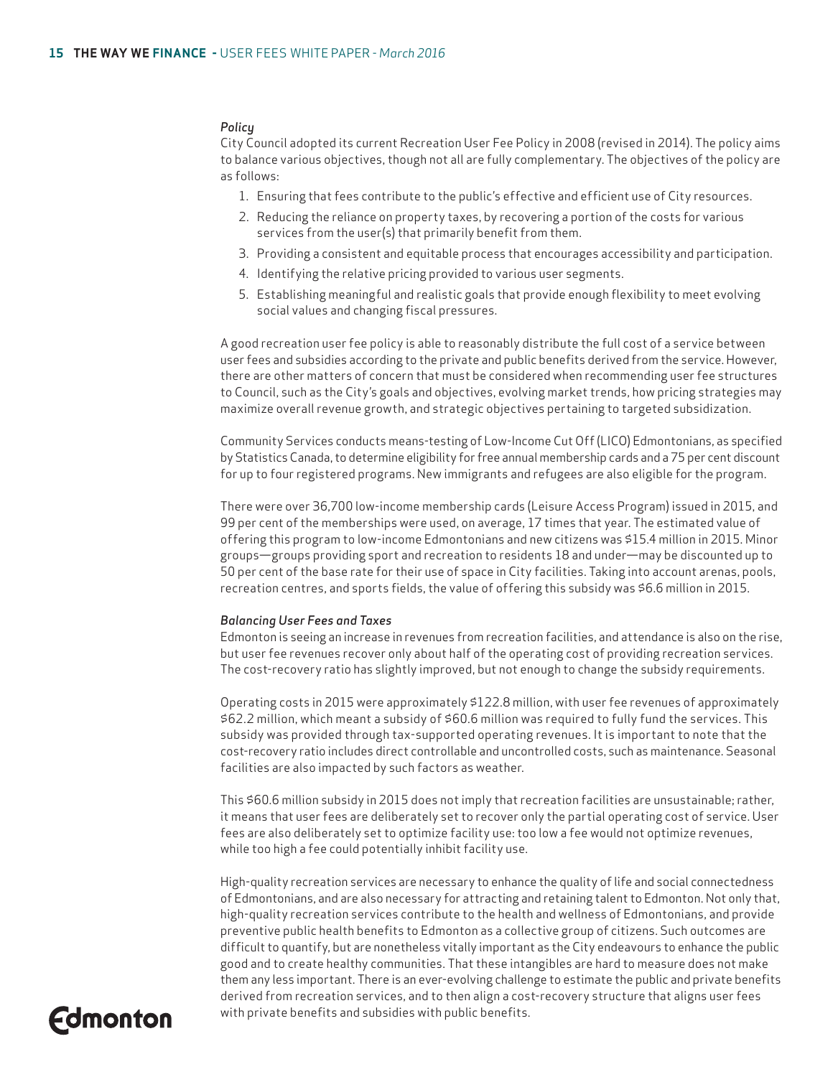#### *Policy*

City Council adopted its current Recreation User Fee Policy in 2008 (revised in 2014). The policy aims to balance various objectives, though not all are fully complementary. The objectives of the policy are as follows:

- 1. Ensuring that fees contribute to the public's effective and efficient use of City resources.
- 2. Reducing the reliance on property taxes, by recovering a portion of the costs for various services from the user(s) that primarily benefit from them.
- 3. Providing a consistent and equitable process that encourages accessibility and participation.
- 4. Identifying the relative pricing provided to various user segments.
- 5. Establishing meaningful and realistic goals that provide enough flexibility to meet evolving social values and changing fiscal pressures.

A good recreation user fee policy is able to reasonably distribute the full cost of a service between user fees and subsidies according to the private and public benefits derived from the service. However, there are other matters of concern that must be considered when recommending user fee structures to Council, such as the City's goals and objectives, evolving market trends, how pricing strategies may maximize overall revenue growth, and strategic objectives pertaining to targeted subsidization.

Community Services conducts means-testing of Low-Income Cut Off (LICO) Edmontonians, as specified by Statistics Canada, to determine eligibility for free annual membership cards and a 75 per cent discount for up to four registered programs. New immigrants and refugees are also eligible for the program.

There were over 36,700 low-income membership cards (Leisure Access Program) issued in 2015, and 99 per cent of the memberships were used, on average, 17 times that year. The estimated value of offering this program to low-income Edmontonians and new citizens was \$15.4 million in 2015. Minor groups—groups providing sport and recreation to residents 18 and under—may be discounted up to 50 per cent of the base rate for their use of space in City facilities. Taking into account arenas, pools, recreation centres, and sports fields, the value of offering this subsidy was \$6.6 million in 2015.

#### *Balancing User Fees and Taxes*

Edmonton is seeing an increase in revenues from recreation facilities, and attendance is also on the rise, but user fee revenues recover only about half of the operating cost of providing recreation services. The cost-recovery ratio has slightly improved, but not enough to change the subsidy requirements.

Operating costs in 2015 were approximately \$122.8 million, with user fee revenues of approximately \$62.2 million, which meant a subsidy of \$60.6 million was required to fully fund the services. This subsidy was provided through tax-supported operating revenues. It is important to note that the cost-recovery ratio includes direct controllable and uncontrolled costs, such as maintenance. Seasonal facilities are also impacted by such factors as weather.

This \$60.6 million subsidy in 2015 does not imply that recreation facilities are unsustainable; rather, it means that user fees are deliberately set to recover only the partial operating cost of service. User fees are also deliberately set to optimize facility use: too low a fee would not optimize revenues, while too high a fee could potentially inhibit facility use.

High-quality recreation services are necessary to enhance the quality of life and social connectedness of Edmontonians, and are also necessary for attracting and retaining talent to Edmonton. Not only that, high-quality recreation services contribute to the health and wellness of Edmontonians, and provide preventive public health benefits to Edmonton as a collective group of citizens. Such outcomes are difficult to quantify, but are nonetheless vitally important as the City endeavours to enhance the public good and to create healthy communities. That these intangibles are hard to measure does not make them any less important. There is an ever-evolving challenge to estimate the public and private benefits derived from recreation services, and to then align a cost-recovery structure that aligns user fees with private benefits and subsidies with public benefits.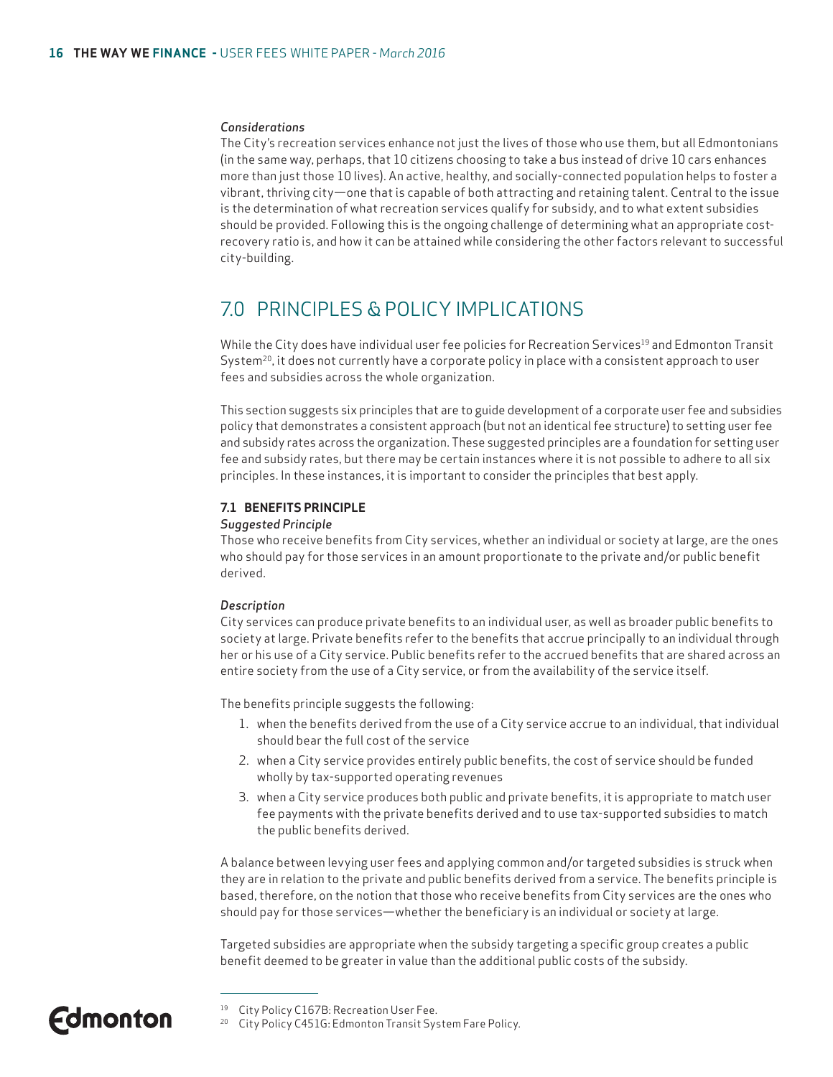#### *Considerations*

The City's recreation services enhance not just the lives of those who use them, but all Edmontonians (in the same way, perhaps, that 10 citizens choosing to take a bus instead of drive 10 cars enhances more than just those 10 lives). An active, healthy, and socially-connected population helps to foster a vibrant, thriving city—one that is capable of both attracting and retaining talent. Central to the issue is the determination of what recreation services qualify for subsidy, and to what extent subsidies should be provided. Following this is the ongoing challenge of determining what an appropriate costrecovery ratio is, and how it can be attained while considering the other factors relevant to successful city-building.

### 7.0 PRINCIPLES & POLICY IMPLICATIONS

While the City does have individual user fee policies for Recreation Services<sup>19</sup> and Edmonton Transit System<sup>20</sup>, it does not currently have a corporate policy in place with a consistent approach to user fees and subsidies across the whole organization.

This section suggests six principles that are to guide development of a corporate user fee and subsidies policy that demonstrates a consistent approach (but not an identical fee structure) to setting user fee and subsidy rates across the organization. These suggested principles are a foundation for setting user fee and subsidy rates, but there may be certain instances where it is not possible to adhere to all six principles. In these instances, it is important to consider the principles that best apply.

#### **7.1 BENEFITS PRINCIPLE**

#### *Suggested Principle*

Those who receive benefits from City services, whether an individual or society at large, are the ones who should pay for those services in an amount proportionate to the private and/or public benefit derived.

#### *Description*

City services can produce private benefits to an individual user, as well as broader public benefits to society at large. Private benefits refer to the benefits that accrue principally to an individual through her or his use of a City service. Public benefits refer to the accrued benefits that are shared across an entire society from the use of a City service, or from the availability of the service itself.

The benefits principle suggests the following:

- 1. when the benefits derived from the use of a City service accrue to an individual, that individual should bear the full cost of the service
- 2. when a City service provides entirely public benefits, the cost of service should be funded wholly by tax-supported operating revenues
- 3. when a City service produces both public and private benefits, it is appropriate to match user fee payments with the private benefits derived and to use tax-supported subsidies to match the public benefits derived.

A balance between levying user fees and applying common and/or targeted subsidies is struck when they are in relation to the private and public benefits derived from a service. The benefits principle is based, therefore, on the notion that those who receive benefits from City services are the ones who should pay for those services—whether the beneficiary is an individual or society at large.

Targeted subsidies are appropriate when the subsidy targeting a specific group creates a public benefit deemed to be greater in value than the additional public costs of the subsidy.

<sup>&</sup>lt;sup>19</sup> City Policy C167B: Recreation User Fee.

<sup>20</sup> City Policy C451G: Edmonton Transit System Fare Policy.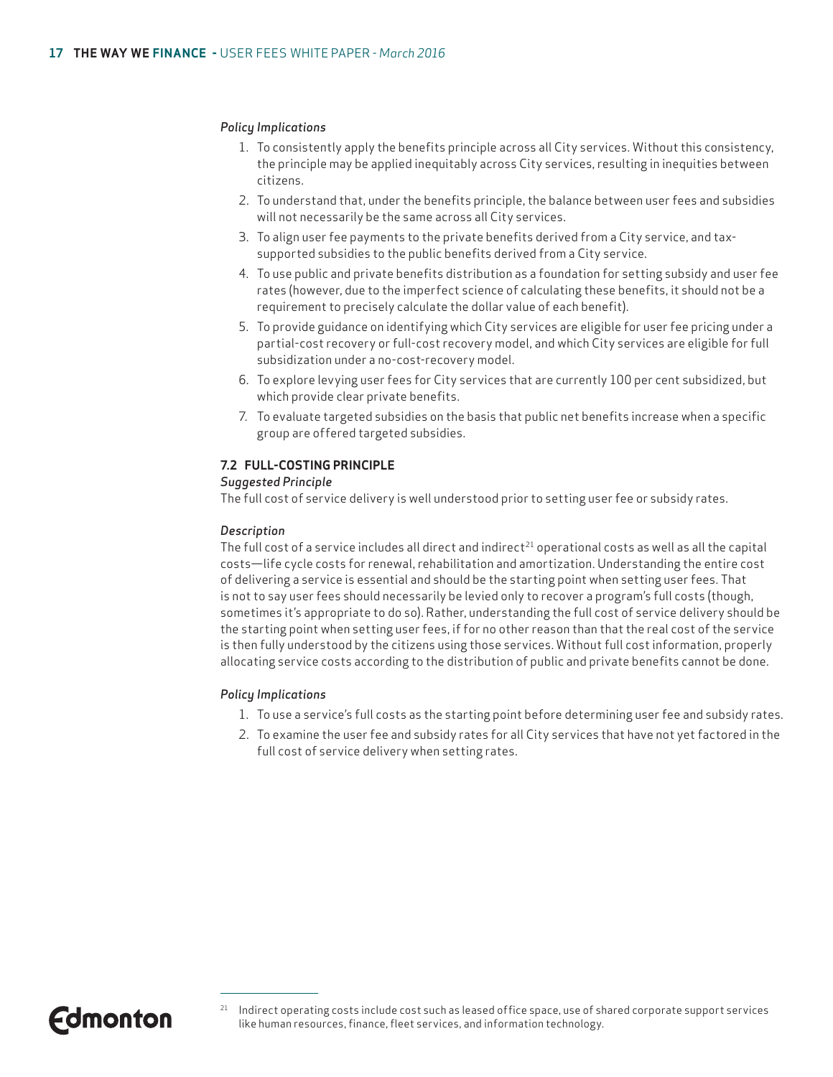#### *Policy Implications*

- 1. To consistently apply the benefits principle across all City services. Without this consistency, the principle may be applied inequitably across City services, resulting in inequities between citizens.
- 2. To understand that, under the benefits principle, the balance between user fees and subsidies will not necessarily be the same across all City services.
- 3. To align user fee payments to the private benefits derived from a City service, and taxsupported subsidies to the public benefits derived from a City service.
- 4. To use public and private benefits distribution as a foundation for setting subsidy and user fee rates (however, due to the imperfect science of calculating these benefits, it should not be a requirement to precisely calculate the dollar value of each benefit).
- 5. To provide guidance on identifying which City services are eligible for user fee pricing under a partial-cost recovery or full-cost recovery model, and which City services are eligible for full subsidization under a no-cost-recovery model.
- 6. To explore levying user fees for City services that are currently 100 per cent subsidized, but which provide clear private benefits.
- 7. To evaluate targeted subsidies on the basis that public net benefits increase when a specific group are offered targeted subsidies.

#### **7.2 FULL-COSTING PRINCIPLE**

#### *Suggested Principle*

The full cost of service delivery is well understood prior to setting user fee or subsidy rates.

#### *Description*

The full cost of a service includes all direct and indirect<sup>21</sup> operational costs as well as all the capital costs—life cycle costs for renewal, rehabilitation and amortization. Understanding the entire cost of delivering a service is essential and should be the starting point when setting user fees. That is not to say user fees should necessarily be levied only to recover a program's full costs (though, sometimes it's appropriate to do so). Rather, understanding the full cost of service delivery should be the starting point when setting user fees, if for no other reason than that the real cost of the service is then fully understood by the citizens using those services. Without full cost information, properly allocating service costs according to the distribution of public and private benefits cannot be done.

#### *Policy Implications*

- 1. To use a service's full costs as the starting point before determining user fee and subsidy rates.
- 2. To examine the user fee and subsidy rates for all City services that have not yet factored in the full cost of service delivery when setting rates.

<sup>&</sup>lt;sup>21</sup> Indirect operating costs include cost such as leased office space, use of shared corporate support services like human resources, finance, fleet services, and information technology.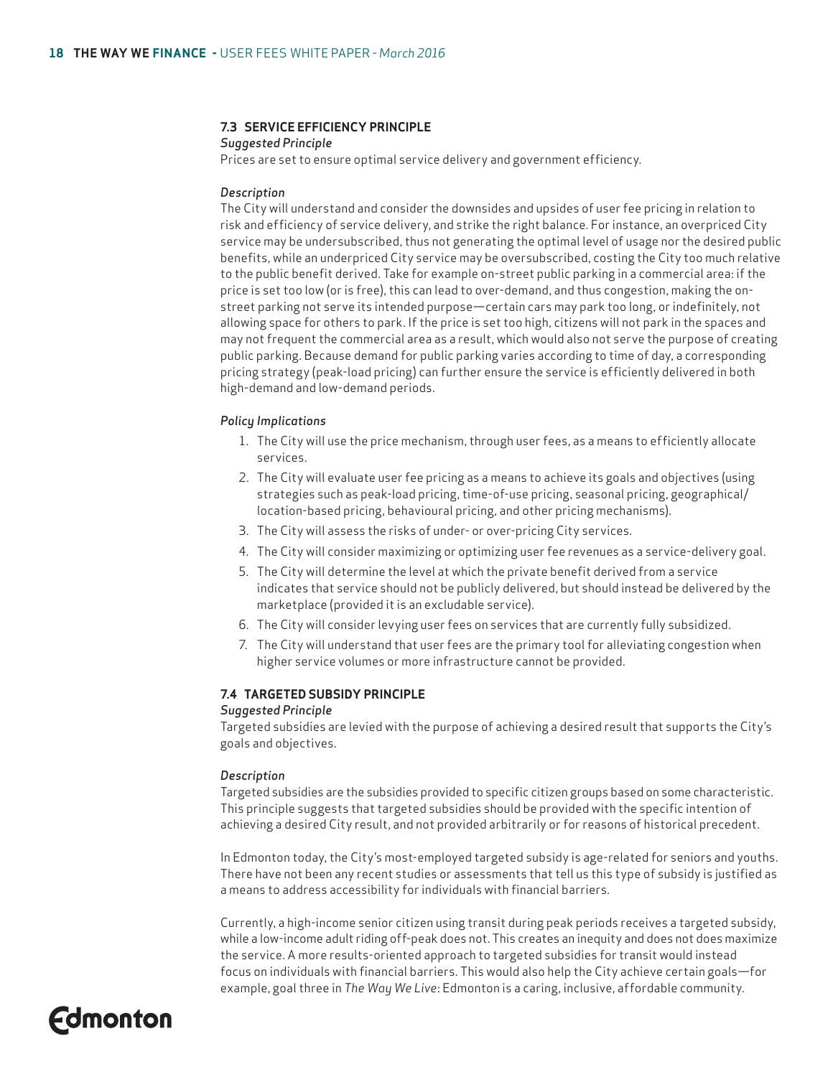#### **7.3 SERVICE EFFICIENCY PRINCIPLE**

#### *Suggested Principle*

Prices are set to ensure optimal service delivery and government efficiency.

#### *Description*

The City will understand and consider the downsides and upsides of user fee pricing in relation to risk and efficiency of service delivery, and strike the right balance. For instance, an overpriced City service may be undersubscribed, thus not generating the optimal level of usage nor the desired public benefits, while an underpriced City service may be oversubscribed, costing the City too much relative to the public benefit derived. Take for example on-street public parking in a commercial area: if the price is set too low (or is free), this can lead to over-demand, and thus congestion, making the onstreet parking not serve its intended purpose—certain cars may park too long, or indefinitely, not allowing space for others to park. If the price is set too high, citizens will not park in the spaces and may not frequent the commercial area as a result, which would also not serve the purpose of creating public parking. Because demand for public parking varies according to time of day, a corresponding pricing strategy (peak-load pricing) can further ensure the service is efficiently delivered in both high-demand and low-demand periods.

#### *Policy Implications*

- 1. The City will use the price mechanism, through user fees, as a means to efficiently allocate services.
- 2. The City will evaluate user fee pricing as a means to achieve its goals and objectives (using strategies such as peak-load pricing, time-of-use pricing, seasonal pricing, geographical/ location-based pricing, behavioural pricing, and other pricing mechanisms).
- 3. The City will assess the risks of under- or over-pricing City services.
- 4. The City will consider maximizing or optimizing user fee revenues as a service-delivery goal.
- 5. The City will determine the level at which the private benefit derived from a service indicates that service should not be publicly delivered, but should instead be delivered by the marketplace (provided it is an excludable service).
- 6. The City will consider levying user fees on services that are currently fully subsidized.
- 7. The City will understand that user fees are the primary tool for alleviating congestion when higher service volumes or more infrastructure cannot be provided.

#### **7.4 TARGETED SUBSIDY PRINCIPLE**

#### *Suggested Principle*

Targeted subsidies are levied with the purpose of achieving a desired result that supports the City's goals and objectives.

#### *Description*

Targeted subsidies are the subsidies provided to specific citizen groups based on some characteristic. This principle suggests that targeted subsidies should be provided with the specific intention of achieving a desired City result, and not provided arbitrarily or for reasons of historical precedent.

In Edmonton today, the City's most-employed targeted subsidy is age-related for seniors and youths. There have not been any recent studies or assessments that tell us this type of subsidy is justified as a means to address accessibility for individuals with financial barriers.

Currently, a high-income senior citizen using transit during peak periods receives a targeted subsidy, while a low-income adult riding off-peak does not. This creates an inequity and does not does maximize the service. A more results-oriented approach to targeted subsidies for transit would instead focus on individuals with financial barriers. This would also help the City achieve certain goals—for example, goal three in *The Way We Live*: Edmonton is a caring, inclusive, affordable community.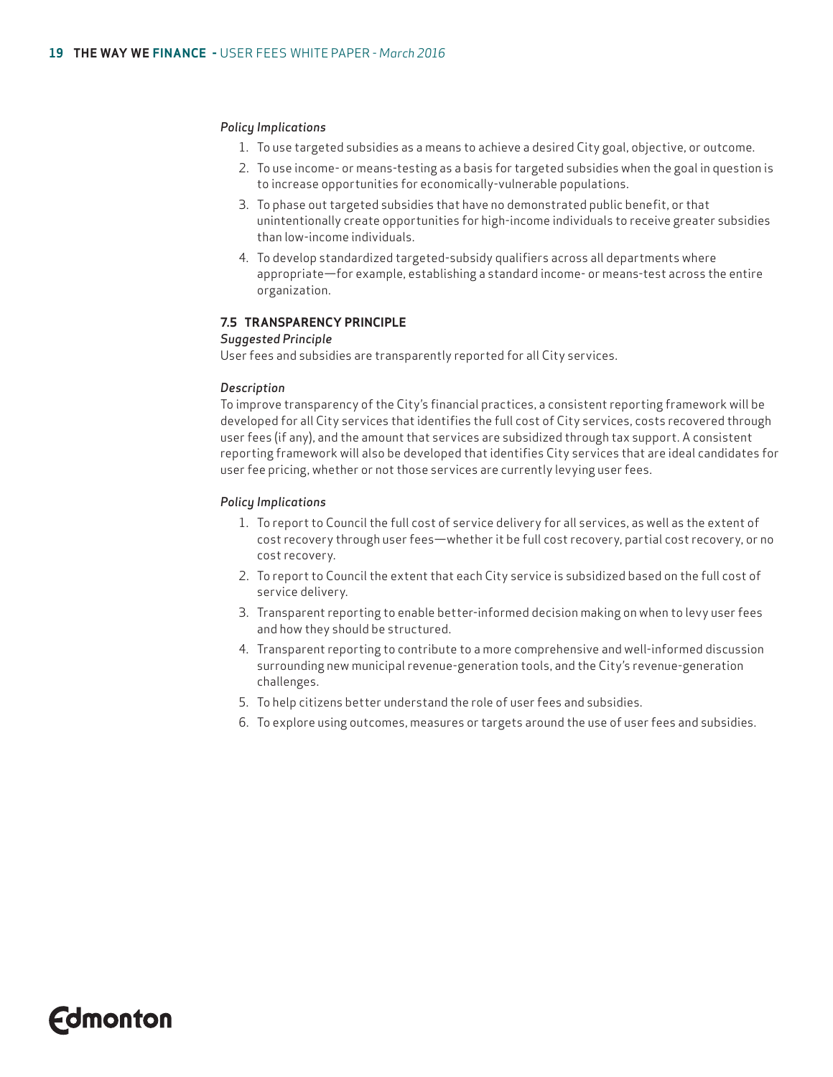#### *Policy Implications*

- 1. To use targeted subsidies as a means to achieve a desired City goal, objective, or outcome.
- 2. To use income- or means-testing as a basis for targeted subsidies when the goal in question is to increase opportunities for economically-vulnerable populations.
- 3. To phase out targeted subsidies that have no demonstrated public benefit, or that unintentionally create opportunities for high-income individuals to receive greater subsidies than low-income individuals.
- 4. To develop standardized targeted-subsidy qualifiers across all departments where appropriate—for example, establishing a standard income- or means-test across the entire organization.

#### **7.5 TRANSPARENCY PRINCIPLE**

#### *Suggested Principle*

User fees and subsidies are transparently reported for all City services.

#### *Description*

To improve transparency of the City's financial practices, a consistent reporting framework will be developed for all City services that identifies the full cost of City services, costs recovered through user fees (if any), and the amount that services are subsidized through tax support. A consistent reporting framework will also be developed that identifies City services that are ideal candidates for user fee pricing, whether or not those services are currently levying user fees.

#### *Policy Implications*

- 1. To report to Council the full cost of service delivery for all services, as well as the extent of cost recovery through user fees—whether it be full cost recovery, partial cost recovery, or no cost recovery.
- 2. To report to Council the extent that each City service is subsidized based on the full cost of service delivery.
- 3. Transparent reporting to enable better-informed decision making on when to levy user fees and how they should be structured.
- 4. Transparent reporting to contribute to a more comprehensive and well-informed discussion surrounding new municipal revenue-generation tools, and the City's revenue-generation challenges.
- 5. To help citizens better understand the role of user fees and subsidies.
- 6. To explore using outcomes, measures or targets around the use of user fees and subsidies.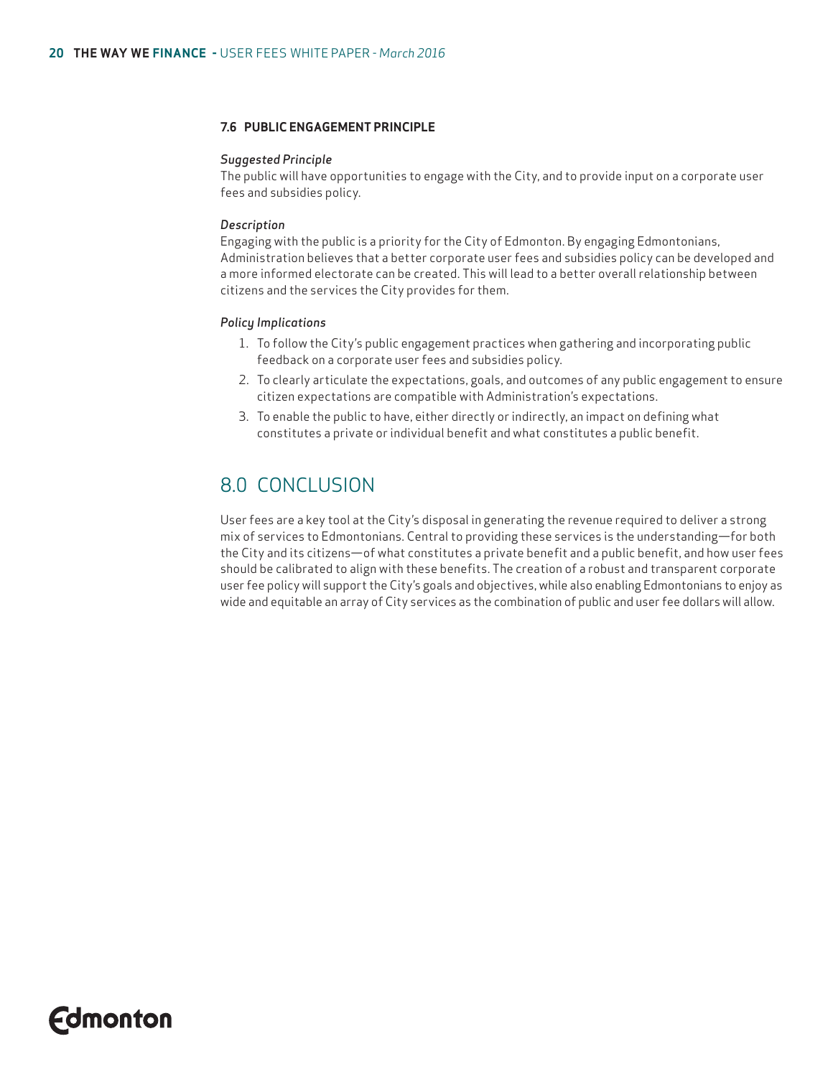#### **7.6 PUBLIC ENGAGEMENT PRINCIPLE**

#### *Suggested Principle*

The public will have opportunities to engage with the City, and to provide input on a corporate user fees and subsidies policy.

#### *Description*

Engaging with the public is a priority for the City of Edmonton. By engaging Edmontonians, Administration believes that a better corporate user fees and subsidies policy can be developed and a more informed electorate can be created. This will lead to a better overall relationship between citizens and the services the City provides for them.

#### *Policy Implications*

- 1. To follow the City's public engagement practices when gathering and incorporating public feedback on a corporate user fees and subsidies policy.
- 2. To clearly articulate the expectations, goals, and outcomes of any public engagement to ensure citizen expectations are compatible with Administration's expectations.
- 3. To enable the public to have, either directly or indirectly, an impact on defining what constitutes a private or individual benefit and what constitutes a public benefit.

### 8.0 CONCLUSION

User fees are a key tool at the City's disposal in generating the revenue required to deliver a strong mix of services to Edmontonians. Central to providing these services is the understanding—for both the City and its citizens—of what constitutes a private benefit and a public benefit, and how user fees should be calibrated to align with these benefits. The creation of a robust and transparent corporate user fee policy will support the City's goals and objectives, while also enabling Edmontonians to enjoy as wide and equitable an array of City services as the combination of public and user fee dollars will allow.

## **Edmonton**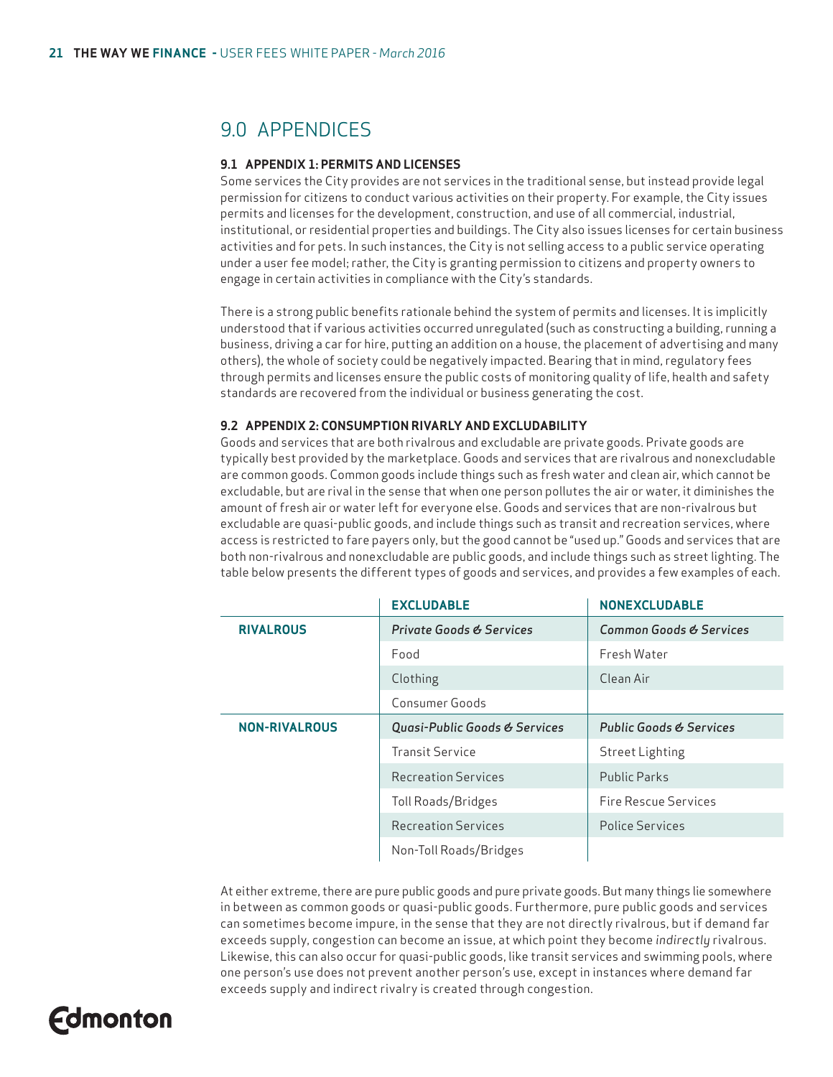### 9.0 APPENDICES

#### **9.1 APPENDIX 1: PERMITS AND LICENSES**

Some services the City provides are not services in the traditional sense, but instead provide legal permission for citizens to conduct various activities on their property. For example, the City issues permits and licenses for the development, construction, and use of all commercial, industrial, institutional, or residential properties and buildings. The City also issues licenses for certain business activities and for pets. In such instances, the City is not selling access to a public service operating under a user fee model; rather, the City is granting permission to citizens and property owners to engage in certain activities in compliance with the City's standards.

There is a strong public benefits rationale behind the system of permits and licenses. It is implicitly understood that if various activities occurred unregulated (such as constructing a building, running a business, driving a car for hire, putting an addition on a house, the placement of advertising and many others), the whole of society could be negatively impacted. Bearing that in mind, regulatory fees through permits and licenses ensure the public costs of monitoring quality of life, health and safety standards are recovered from the individual or business generating the cost.

#### **9.2 APPENDIX 2: CONSUMPTION RIVARLY AND EXCLUDABILITY**

Goods and services that are both rivalrous and excludable are private goods. Private goods are typically best provided by the marketplace. Goods and services that are rivalrous and nonexcludable are common goods. Common goods include things such as fresh water and clean air, which cannot be excludable, but are rival in the sense that when one person pollutes the air or water, it diminishes the amount of fresh air or water left for everyone else. Goods and services that are non-rivalrous but excludable are quasi-public goods, and include things such as transit and recreation services, where access is restricted to fare payers only, but the good cannot be "used up." Goods and services that are both non-rivalrous and nonexcludable are public goods, and include things such as street lighting. The table below presents the different types of goods and services, and provides a few examples of each.

|                      | <b>EXCLUDABLE</b>                   | <b>NONEXCLUDABLE</b>               |
|----------------------|-------------------------------------|------------------------------------|
| <b>RIVALROUS</b>     | <b>Private Goods &amp; Services</b> | Common Goods & Services            |
|                      | Food                                | Fresh Water                        |
|                      | Clothing                            | Clean Air                          |
|                      | Consumer Goods                      |                                    |
| <b>NON-RIVALROUS</b> | Quasi-Public Goods & Services       | <b>Public Goods &amp; Services</b> |
|                      | <b>Transit Service</b>              | <b>Street Lighting</b>             |
|                      | Recreation Services                 | <b>Public Parks</b>                |
|                      | Toll Roads/Bridges                  | Fire Rescue Services               |
|                      | <b>Recreation Services</b>          | <b>Police Services</b>             |
|                      | Non-Toll Roads/Bridges              |                                    |

At either extreme, there are pure public goods and pure private goods. But many things lie somewhere in between as common goods or quasi-public goods. Furthermore, pure public goods and services can sometimes become impure, in the sense that they are not directly rivalrous, but if demand far exceeds supply, congestion can become an issue, at which point they become *indirectly* rivalrous. Likewise, this can also occur for quasi-public goods, like transit services and swimming pools, where one person's use does not prevent another person's use, except in instances where demand far exceeds supply and indirect rivalry is created through congestion.